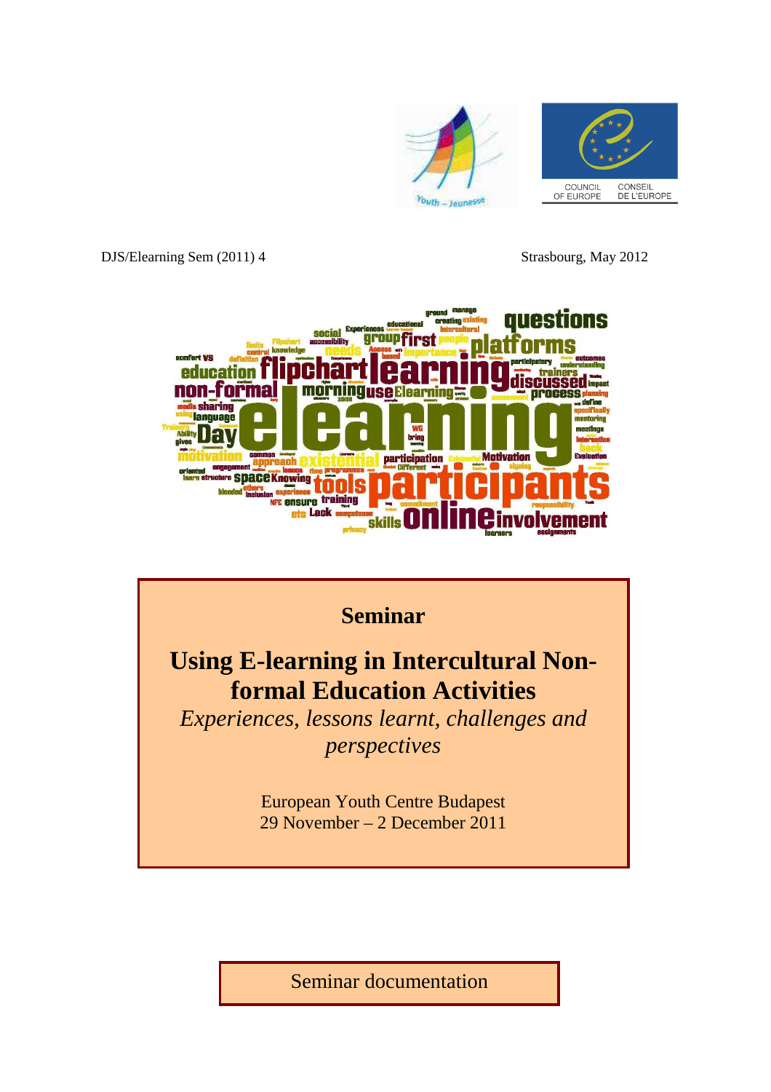

DJS/Elearning Sem (2011) 4 Strasbourg, May 2012





Seminar documentation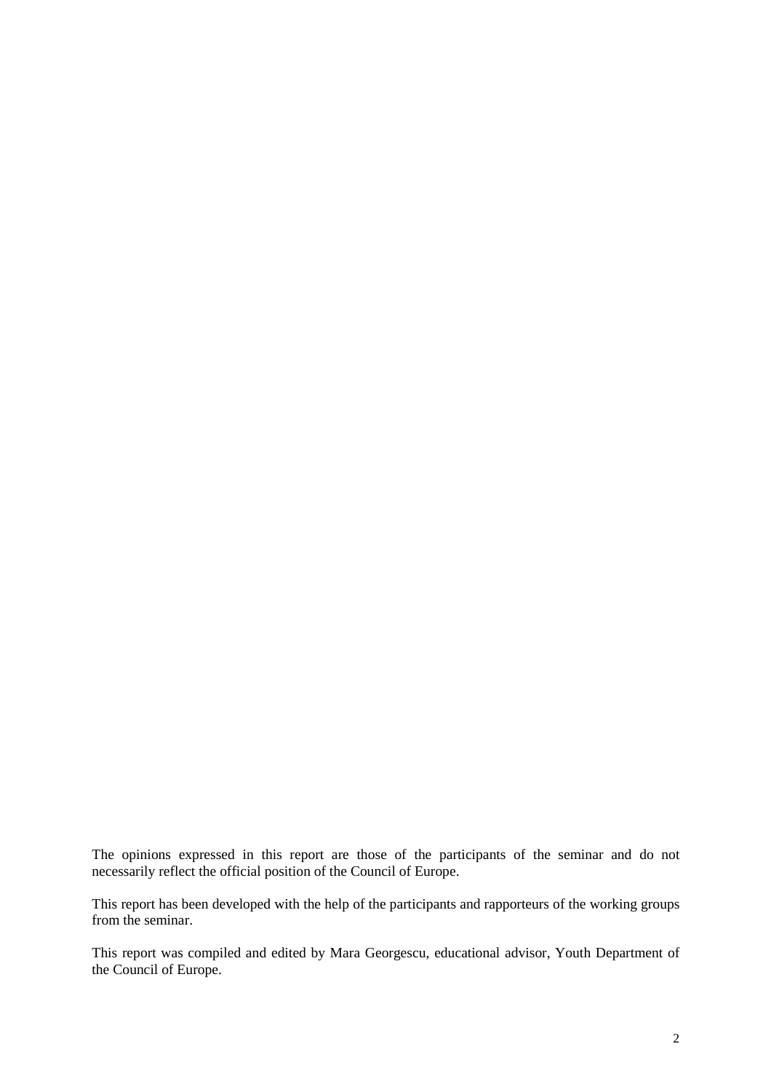The opinions expressed in this report are those of the participants of the seminar and do not necessarily reflect the official position of the Council of Europe.

This report has been developed with the help of the participants and rapporteurs of the working groups from the seminar.

This report was compiled and edited by Mara Georgescu, educational advisor, Youth Department of the Council of Europe.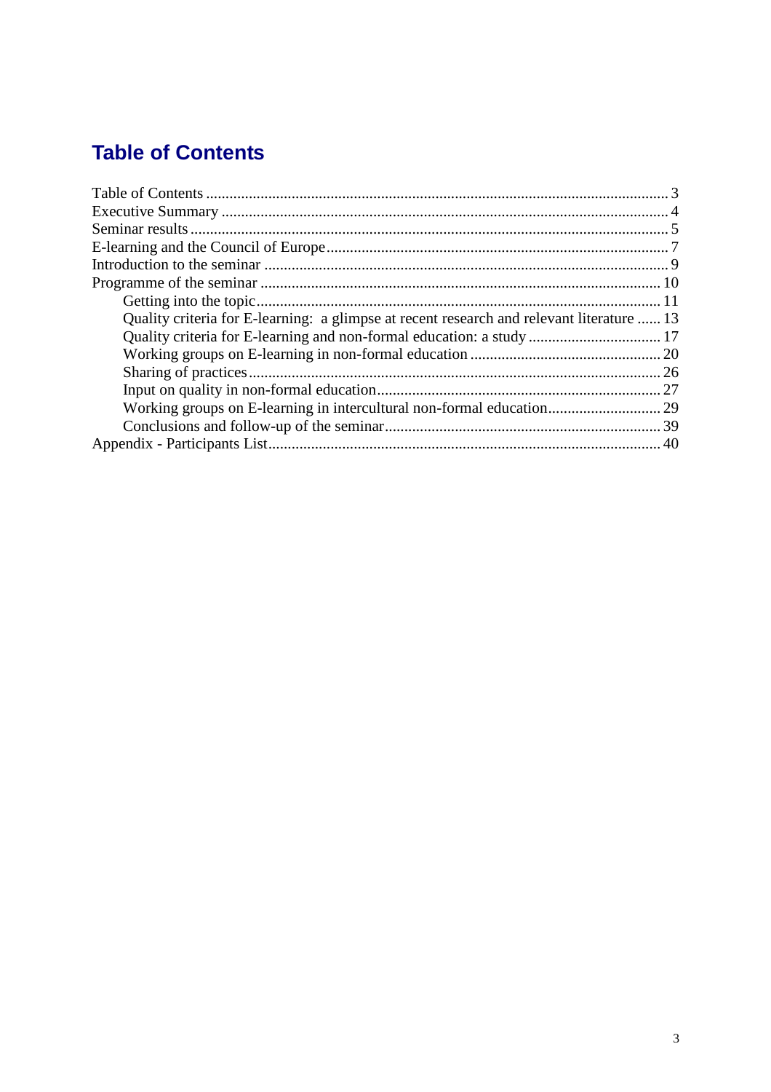# **Table of Contents**

| Quality criteria for E-learning: a glimpse at recent research and relevant literature  13 |  |
|-------------------------------------------------------------------------------------------|--|
|                                                                                           |  |
|                                                                                           |  |
|                                                                                           |  |
|                                                                                           |  |
| Working groups on E-learning in intercultural non-formal education 29                     |  |
|                                                                                           |  |
|                                                                                           |  |
|                                                                                           |  |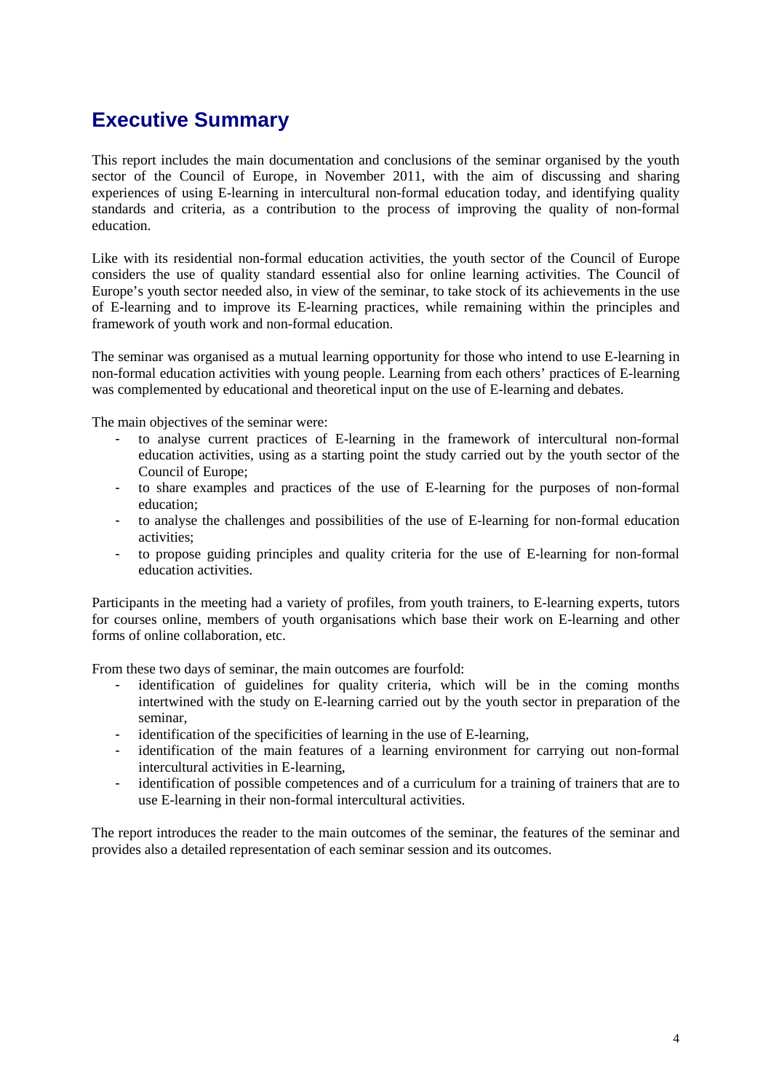# **Executive Summary**

This report includes the main documentation and conclusions of the seminar organised by the youth sector of the Council of Europe, in November 2011, with the aim of discussing and sharing experiences of using E-learning in intercultural non-formal education today, and identifying quality standards and criteria, as a contribution to the process of improving the quality of non-formal education.

Like with its residential non-formal education activities, the youth sector of the Council of Europe considers the use of quality standard essential also for online learning activities. The Council of Europe's youth sector needed also, in view of the seminar, to take stock of its achievements in the use of E-learning and to improve its E-learning practices, while remaining within the principles and framework of youth work and non-formal education.

The seminar was organised as a mutual learning opportunity for those who intend to use E-learning in non-formal education activities with young people. Learning from each others' practices of E-learning was complemented by educational and theoretical input on the use of E-learning and debates.

The main objectives of the seminar were:

- to analyse current practices of E-learning in the framework of intercultural non-formal education activities, using as a starting point the study carried out by the youth sector of the Council of Europe;
- to share examples and practices of the use of E-learning for the purposes of non-formal education;
- to analyse the challenges and possibilities of the use of E-learning for non-formal education activities;
- to propose guiding principles and quality criteria for the use of E-learning for non-formal education activities.

Participants in the meeting had a variety of profiles, from youth trainers, to E-learning experts, tutors for courses online, members of youth organisations which base their work on E-learning and other forms of online collaboration, etc.

From these two days of seminar, the main outcomes are fourfold:

- identification of guidelines for quality criteria, which will be in the coming months intertwined with the study on E-learning carried out by the youth sector in preparation of the seminar,
- identification of the specificities of learning in the use of E-learning,
- identification of the main features of a learning environment for carrying out non-formal intercultural activities in E-learning,
- identification of possible competences and of a curriculum for a training of trainers that are to use E-learning in their non-formal intercultural activities.

The report introduces the reader to the main outcomes of the seminar, the features of the seminar and provides also a detailed representation of each seminar session and its outcomes.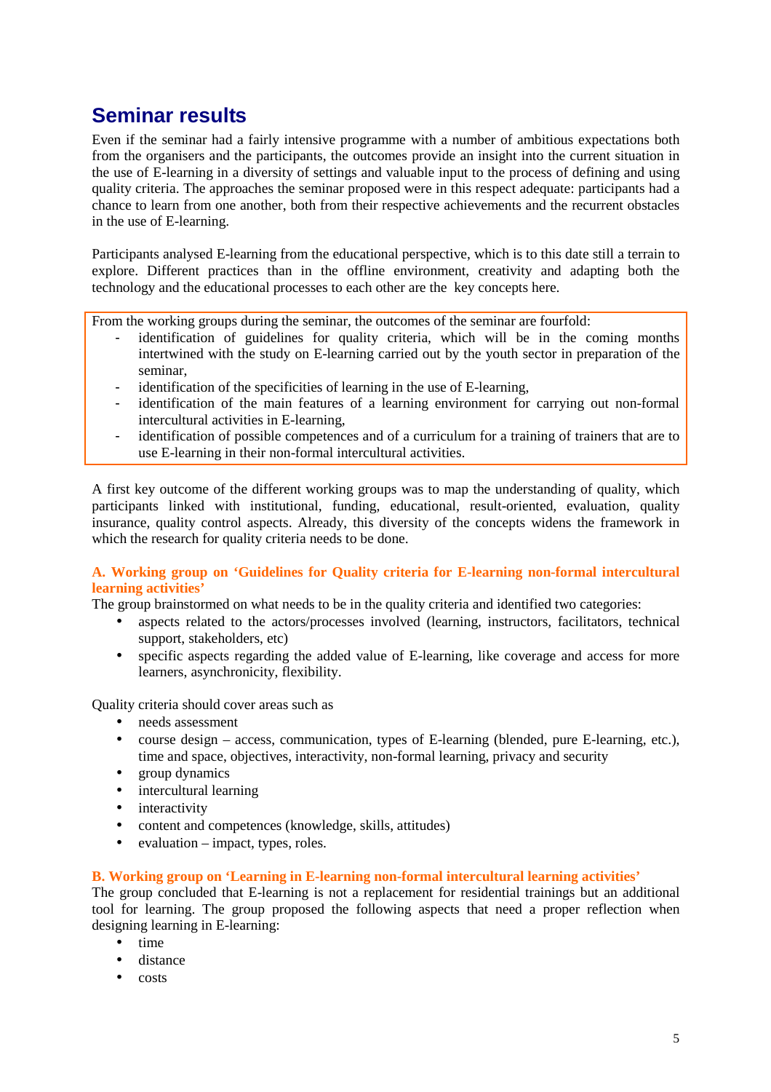# **Seminar results**

Even if the seminar had a fairly intensive programme with a number of ambitious expectations both from the organisers and the participants, the outcomes provide an insight into the current situation in the use of E-learning in a diversity of settings and valuable input to the process of defining and using quality criteria. The approaches the seminar proposed were in this respect adequate: participants had a chance to learn from one another, both from their respective achievements and the recurrent obstacles in the use of E-learning.

Participants analysed E-learning from the educational perspective, which is to this date still a terrain to explore. Different practices than in the offline environment, creativity and adapting both the technology and the educational processes to each other are the key concepts here.

From the working groups during the seminar, the outcomes of the seminar are fourfold:

- identification of guidelines for quality criteria, which will be in the coming months intertwined with the study on E-learning carried out by the youth sector in preparation of the seminar,
- identification of the specificities of learning in the use of E-learning,
- identification of the main features of a learning environment for carrying out non-formal intercultural activities in E-learning,
- identification of possible competences and of a curriculum for a training of trainers that are to use E-learning in their non-formal intercultural activities.

A first key outcome of the different working groups was to map the understanding of quality, which participants linked with institutional, funding, educational, result-oriented, evaluation, quality insurance, quality control aspects. Already, this diversity of the concepts widens the framework in which the research for quality criteria needs to be done.

# **A. Working group on 'Guidelines for Quality criteria for E-learning non-formal intercultural learning activities'**

The group brainstormed on what needs to be in the quality criteria and identified two categories:

- aspects related to the actors/processes involved (learning, instructors, facilitators, technical support, stakeholders, etc)
- specific aspects regarding the added value of E-learning, like coverage and access for more learners, asynchronicity, flexibility.

Quality criteria should cover areas such as

- needs assessment
- course design access, communication, types of E-learning (blended, pure E-learning, etc.), time and space, objectives, interactivity, non-formal learning, privacy and security
- group dynamics
- intercultural learning
- interactivity
- content and competences (knowledge, skills, attitudes)
- evaluation impact, types, roles.

# **B. Working group on 'Learning in E-learning non-formal intercultural learning activities'**

The group concluded that E-learning is not a replacement for residential trainings but an additional tool for learning. The group proposed the following aspects that need a proper reflection when designing learning in E-learning:

- time
- distance
- costs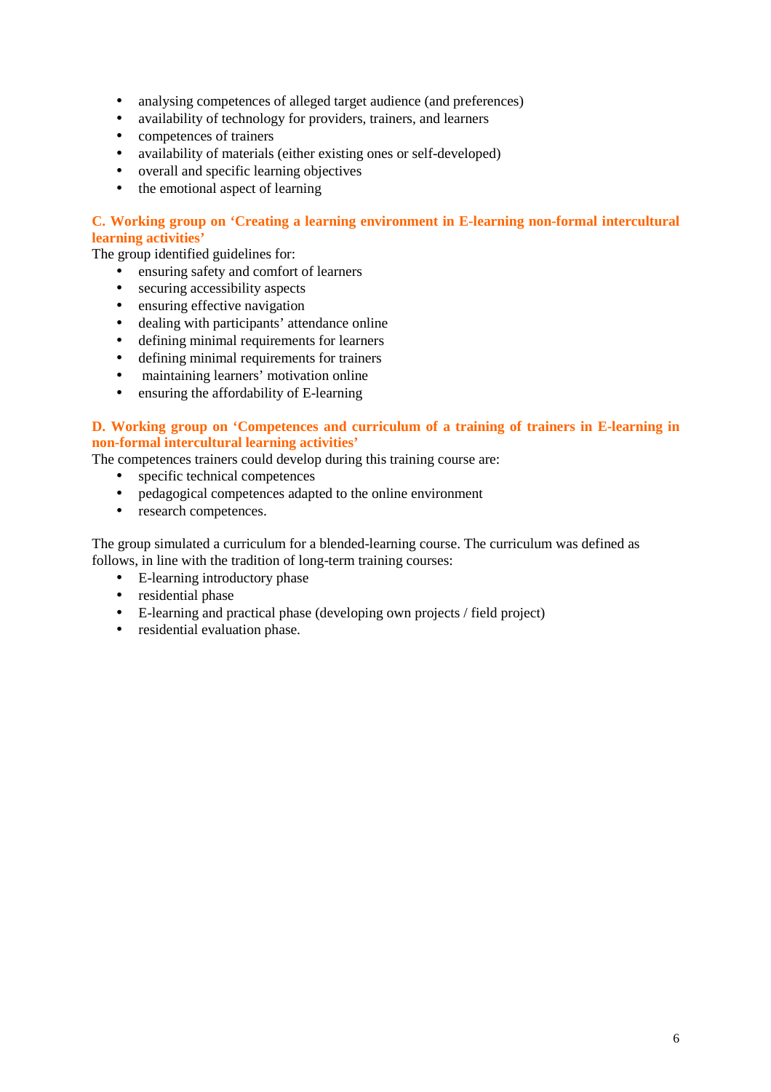- analysing competences of alleged target audience (and preferences)
- availability of technology for providers, trainers, and learners
- competences of trainers
- availability of materials (either existing ones or self-developed)
- overall and specific learning objectives
- the emotional aspect of learning

# **C. Working group on 'Creating a learning environment in E-learning non-formal intercultural learning activities'**

The group identified guidelines for:

- ensuring safety and comfort of learners
- securing accessibility aspects
- ensuring effective navigation
- dealing with participants' attendance online
- defining minimal requirements for learners
- defining minimal requirements for trainers
- maintaining learners' motivation online
- ensuring the affordability of E-learning

# **D. Working group on 'Competences and curriculum of a training of trainers in E-learning in non-formal intercultural learning activities'**

The competences trainers could develop during this training course are:

- specific technical competences
- pedagogical competences adapted to the online environment
- research competences.

The group simulated a curriculum for a blended-learning course. The curriculum was defined as follows, in line with the tradition of long-term training courses:

- E-learning introductory phase
- residential phase
- E-learning and practical phase (developing own projects / field project)
- residential evaluation phase.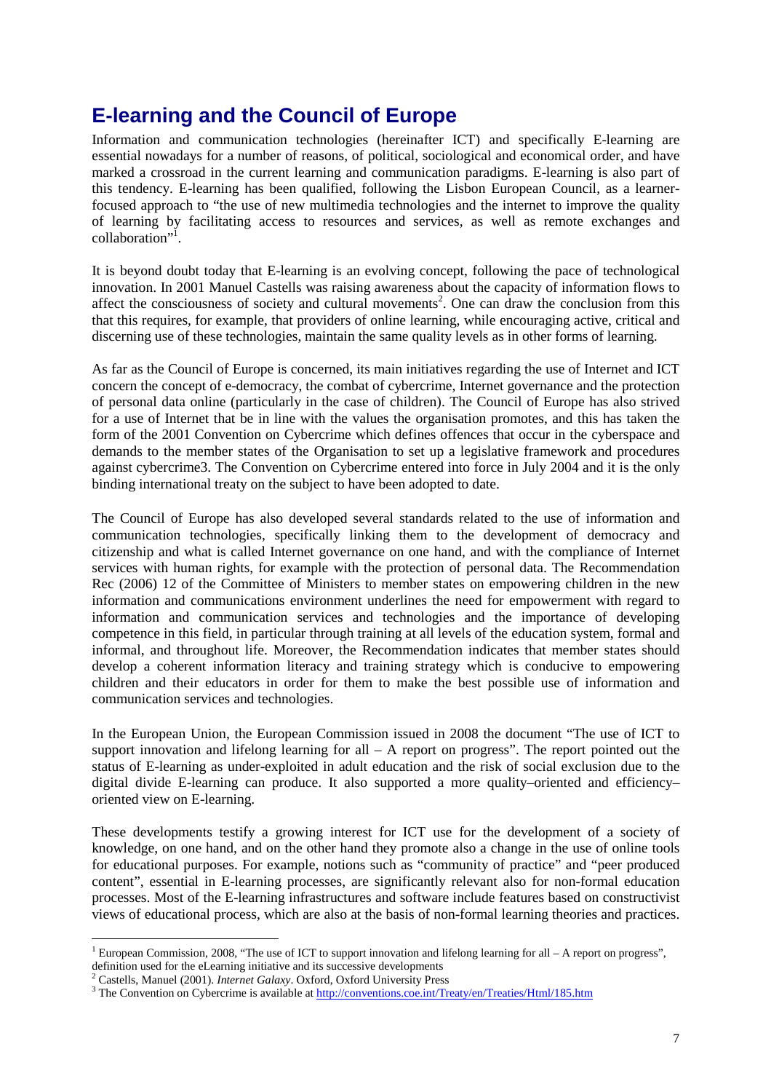# **E-learning and the Council of Europe**

Information and communication technologies (hereinafter ICT) and specifically E-learning are essential nowadays for a number of reasons, of political, sociological and economical order, and have marked a crossroad in the current learning and communication paradigms. E-learning is also part of this tendency. E-learning has been qualified, following the Lisbon European Council, as a learnerfocused approach to "the use of new multimedia technologies and the internet to improve the quality of learning by facilitating access to resources and services, as well as remote exchanges and collaboration"<sup>1</sup>.

It is beyond doubt today that E-learning is an evolving concept, following the pace of technological innovation. In 2001 Manuel Castells was raising awareness about the capacity of information flows to affect the consciousness of society and cultural movements<sup>2</sup>. One can draw the conclusion from this that this requires, for example, that providers of online learning, while encouraging active, critical and discerning use of these technologies, maintain the same quality levels as in other forms of learning.

As far as the Council of Europe is concerned, its main initiatives regarding the use of Internet and ICT concern the concept of e-democracy, the combat of cybercrime, Internet governance and the protection of personal data online (particularly in the case of children). The Council of Europe has also strived for a use of Internet that be in line with the values the organisation promotes, and this has taken the form of the 2001 Convention on Cybercrime which defines offences that occur in the cyberspace and demands to the member states of the Organisation to set up a legislative framework and procedures against cybercrime3. The Convention on Cybercrime entered into force in July 2004 and it is the only binding international treaty on the subject to have been adopted to date.

The Council of Europe has also developed several standards related to the use of information and communication technologies, specifically linking them to the development of democracy and citizenship and what is called Internet governance on one hand, and with the compliance of Internet services with human rights, for example with the protection of personal data. The Recommendation Rec (2006) 12 of the Committee of Ministers to member states on empowering children in the new information and communications environment underlines the need for empowerment with regard to information and communication services and technologies and the importance of developing competence in this field, in particular through training at all levels of the education system, formal and informal, and throughout life. Moreover, the Recommendation indicates that member states should develop a coherent information literacy and training strategy which is conducive to empowering children and their educators in order for them to make the best possible use of information and communication services and technologies.

In the European Union, the European Commission issued in 2008 the document "The use of ICT to support innovation and lifelong learning for all  $- A$  report on progress". The report pointed out the status of E-learning as under-exploited in adult education and the risk of social exclusion due to the digital divide E-learning can produce. It also supported a more quality–oriented and efficiency– oriented view on E-learning.

These developments testify a growing interest for ICT use for the development of a society of knowledge, on one hand, and on the other hand they promote also a change in the use of online tools for educational purposes. For example, notions such as "community of practice" and "peer produced content", essential in E-learning processes, are significantly relevant also for non-formal education processes. Most of the E-learning infrastructures and software include features based on constructivist views of educational process, which are also at the basis of non-formal learning theories and practices.

 $\overline{a}$ <sup>1</sup> European Commission, 2008, "The use of ICT to support innovation and lifelong learning for all – A report on progress", definition used for the eLearning initiative and its successive developments

<sup>2</sup> Castells, Manuel (2001). *Internet Galaxy*. Oxford, Oxford University Press

<sup>&</sup>lt;sup>3</sup> The Convention on Cybercrime is available at http://conventions.coe.int/Treaty/en/Treaties/Html/185.htm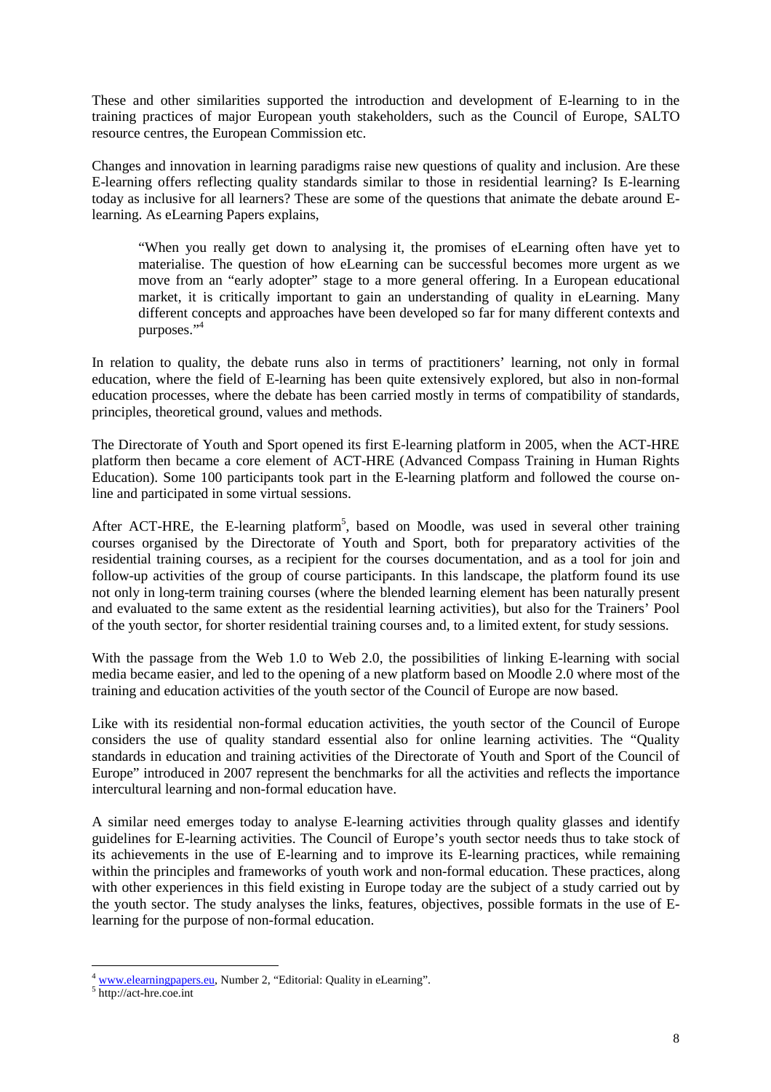These and other similarities supported the introduction and development of E-learning to in the training practices of major European youth stakeholders, such as the Council of Europe, SALTO resource centres, the European Commission etc.

Changes and innovation in learning paradigms raise new questions of quality and inclusion. Are these E-learning offers reflecting quality standards similar to those in residential learning? Is E-learning today as inclusive for all learners? These are some of the questions that animate the debate around Elearning. As eLearning Papers explains,

"When you really get down to analysing it, the promises of eLearning often have yet to materialise. The question of how eLearning can be successful becomes more urgent as we move from an "early adopter" stage to a more general offering. In a European educational market, it is critically important to gain an understanding of quality in eLearning. Many different concepts and approaches have been developed so far for many different contexts and purposes."<sup>4</sup>

In relation to quality, the debate runs also in terms of practitioners' learning, not only in formal education, where the field of E-learning has been quite extensively explored, but also in non-formal education processes, where the debate has been carried mostly in terms of compatibility of standards, principles, theoretical ground, values and methods.

The Directorate of Youth and Sport opened its first E-learning platform in 2005, when the ACT-HRE platform then became a core element of ACT-HRE (Advanced Compass Training in Human Rights Education). Some 100 participants took part in the E-learning platform and followed the course online and participated in some virtual sessions.

After ACT-HRE, the E-learning platform<sup>5</sup>, based on Moodle, was used in several other training courses organised by the Directorate of Youth and Sport, both for preparatory activities of the residential training courses, as a recipient for the courses documentation, and as a tool for join and follow-up activities of the group of course participants. In this landscape, the platform found its use not only in long-term training courses (where the blended learning element has been naturally present and evaluated to the same extent as the residential learning activities), but also for the Trainers' Pool of the youth sector, for shorter residential training courses and, to a limited extent, for study sessions.

With the passage from the Web 1.0 to Web 2.0, the possibilities of linking E-learning with social media became easier, and led to the opening of a new platform based on Moodle 2.0 where most of the training and education activities of the youth sector of the Council of Europe are now based.

Like with its residential non-formal education activities, the youth sector of the Council of Europe considers the use of quality standard essential also for online learning activities. The "Quality standards in education and training activities of the Directorate of Youth and Sport of the Council of Europe" introduced in 2007 represent the benchmarks for all the activities and reflects the importance intercultural learning and non-formal education have.

A similar need emerges today to analyse E-learning activities through quality glasses and identify guidelines for E-learning activities. The Council of Europe's youth sector needs thus to take stock of its achievements in the use of E-learning and to improve its E-learning practices, while remaining within the principles and frameworks of youth work and non-formal education. These practices, along with other experiences in this field existing in Europe today are the subject of a study carried out by the youth sector. The study analyses the links, features, objectives, possible formats in the use of Elearning for the purpose of non-formal education.

 $\overline{a}$ <sup>4</sup> www.elearningpapers.eu, Number 2, "Editorial: Quality in eLearning".

<sup>5</sup> http://act-hre.coe.int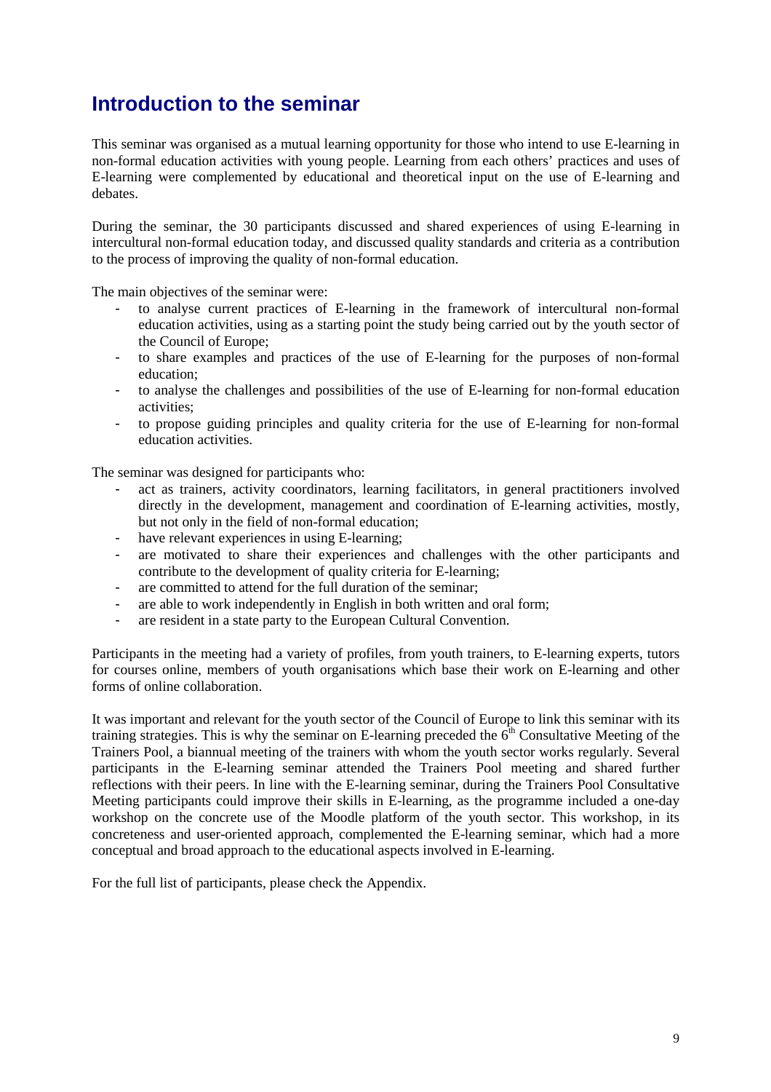# **Introduction to the seminar**

This seminar was organised as a mutual learning opportunity for those who intend to use E-learning in non-formal education activities with young people. Learning from each others' practices and uses of E-learning were complemented by educational and theoretical input on the use of E-learning and debates.

During the seminar, the 30 participants discussed and shared experiences of using E-learning in intercultural non-formal education today, and discussed quality standards and criteria as a contribution to the process of improving the quality of non-formal education.

The main objectives of the seminar were:

- to analyse current practices of E-learning in the framework of intercultural non-formal education activities, using as a starting point the study being carried out by the youth sector of the Council of Europe;
- to share examples and practices of the use of E-learning for the purposes of non-formal education;
- to analyse the challenges and possibilities of the use of E-learning for non-formal education activities;
- to propose guiding principles and quality criteria for the use of E-learning for non-formal education activities.

The seminar was designed for participants who:

- act as trainers, activity coordinators, learning facilitators, in general practitioners involved directly in the development, management and coordination of E-learning activities, mostly, but not only in the field of non-formal education;
- have relevant experiences in using E-learning:
- are motivated to share their experiences and challenges with the other participants and contribute to the development of quality criteria for E-learning;
- are committed to attend for the full duration of the seminar;
- are able to work independently in English in both written and oral form;
- are resident in a state party to the European Cultural Convention.

Participants in the meeting had a variety of profiles, from youth trainers, to E-learning experts, tutors for courses online, members of youth organisations which base their work on E-learning and other forms of online collaboration.

It was important and relevant for the youth sector of the Council of Europe to link this seminar with its training strategies. This is why the seminar on E-learning preceded the  $6<sup>th</sup>$  Consultative Meeting of the Trainers Pool, a biannual meeting of the trainers with whom the youth sector works regularly. Several participants in the E-learning seminar attended the Trainers Pool meeting and shared further reflections with their peers. In line with the E-learning seminar, during the Trainers Pool Consultative Meeting participants could improve their skills in E-learning, as the programme included a one-day workshop on the concrete use of the Moodle platform of the youth sector. This workshop, in its concreteness and user-oriented approach, complemented the E-learning seminar, which had a more conceptual and broad approach to the educational aspects involved in E-learning.

For the full list of participants, please check the Appendix.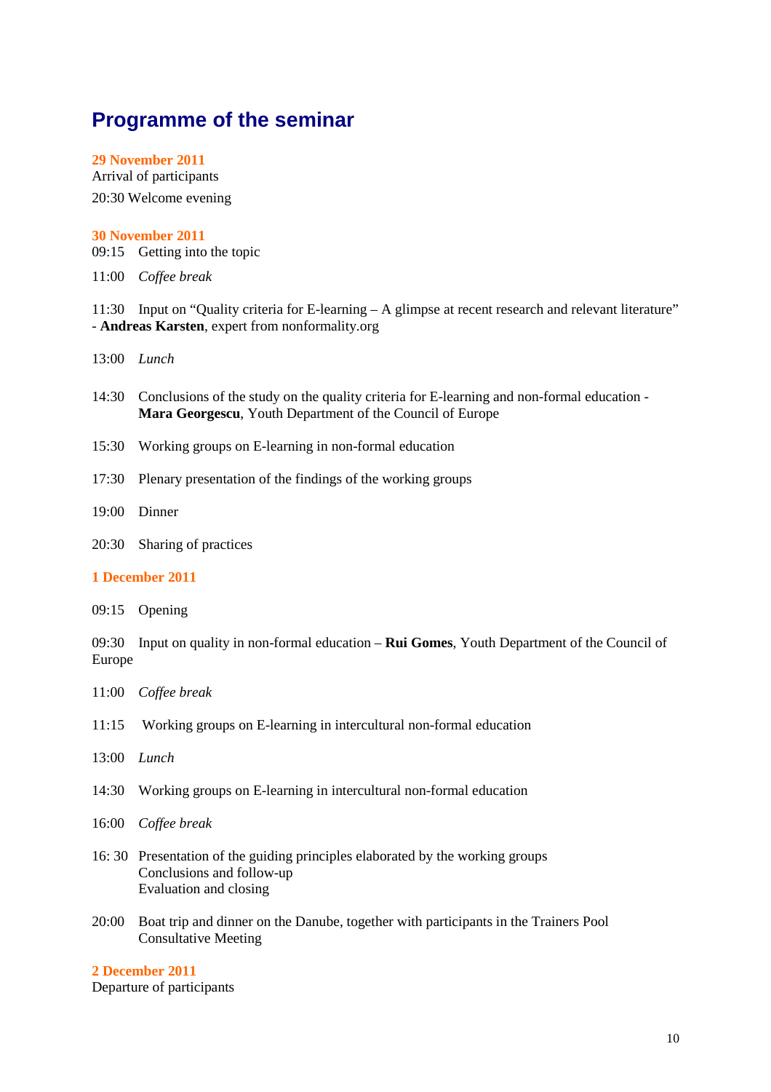# **Programme of the seminar**

#### **29 November 2011**

Arrival of participants 20:30 Welcome evening

#### **30 November 2011**

09:15 Getting into the topic

11:00 *Coffee break* 

11:30 Input on "Quality criteria for E-learning – A glimpse at recent research and relevant literature" - **Andreas Karsten**, expert from nonformality.org

- 13:00 *Lunch*
- 14:30 Conclusions of the study on the quality criteria for E-learning and non-formal education **Mara Georgescu**, Youth Department of the Council of Europe
- 15:30 Working groups on E-learning in non-formal education
- 17:30 Plenary presentation of the findings of the working groups
- 19:00 Dinner
- 20:30 Sharing of practices

### **1 December 2011**

09:15 Opening

09:30 Input on quality in non-formal education – **Rui Gomes**, Youth Department of the Council of Europe

- 11:00 *Coffee break*
- 11:15 Working groups on E-learning in intercultural non-formal education
- 13:00 *Lunch*
- 14:30 Working groups on E-learning in intercultural non-formal education
- 16:00 *Coffee break*
- 16: 30 Presentation of the guiding principles elaborated by the working groups Conclusions and follow-up Evaluation and closing
- 20:00 Boat trip and dinner on the Danube, together with participants in the Trainers Pool Consultative Meeting

# **2 December 2011**

Departure of participants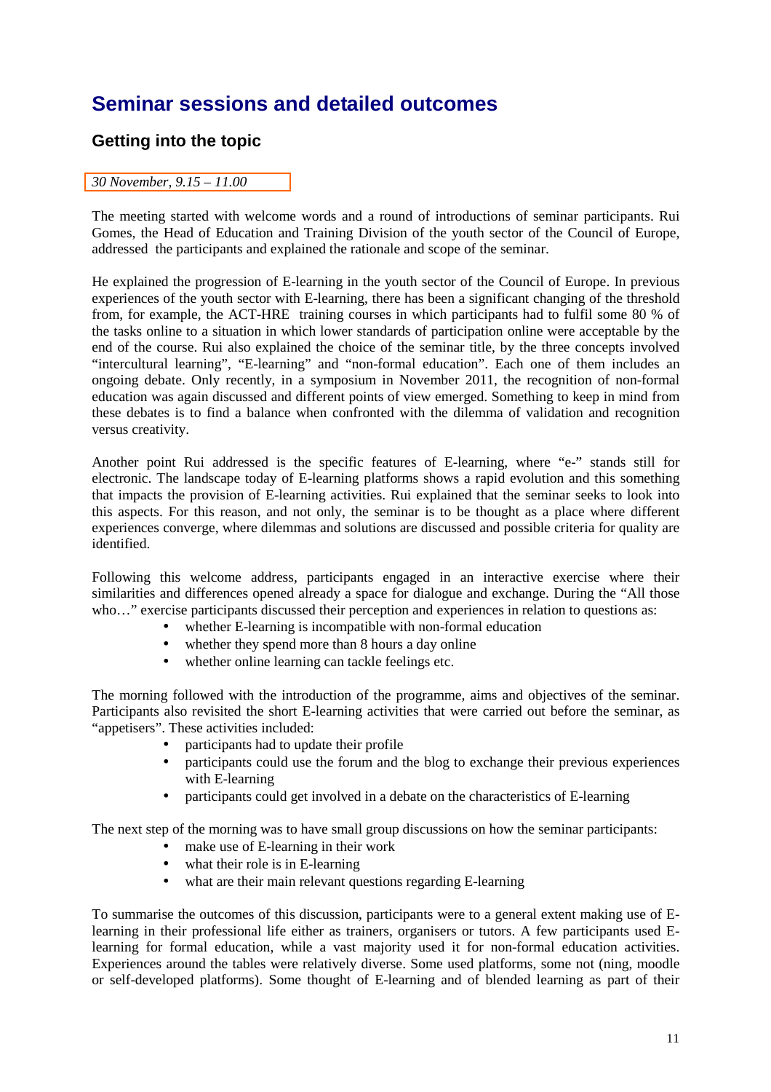# **Seminar sessions and detailed outcomes**

# **Getting into the topic**

# *30 November, 9.15 – 11.00*

The meeting started with welcome words and a round of introductions of seminar participants. Rui Gomes, the Head of Education and Training Division of the youth sector of the Council of Europe, addressed the participants and explained the rationale and scope of the seminar.

He explained the progression of E-learning in the youth sector of the Council of Europe. In previous experiences of the youth sector with E-learning, there has been a significant changing of the threshold from, for example, the ACT-HRE training courses in which participants had to fulfil some 80 % of the tasks online to a situation in which lower standards of participation online were acceptable by the end of the course. Rui also explained the choice of the seminar title, by the three concepts involved "intercultural learning", "E-learning" and "non-formal education". Each one of them includes an ongoing debate. Only recently, in a symposium in November 2011, the recognition of non-formal education was again discussed and different points of view emerged. Something to keep in mind from these debates is to find a balance when confronted with the dilemma of validation and recognition versus creativity.

Another point Rui addressed is the specific features of E-learning, where "e-" stands still for electronic. The landscape today of E-learning platforms shows a rapid evolution and this something that impacts the provision of E-learning activities. Rui explained that the seminar seeks to look into this aspects. For this reason, and not only, the seminar is to be thought as a place where different experiences converge, where dilemmas and solutions are discussed and possible criteria for quality are identified.

Following this welcome address, participants engaged in an interactive exercise where their similarities and differences opened already a space for dialogue and exchange. During the "All those who…" exercise participants discussed their perception and experiences in relation to questions as:

- whether E-learning is incompatible with non-formal education
- whether they spend more than 8 hours a day online
- whether online learning can tackle feelings etc.

The morning followed with the introduction of the programme, aims and objectives of the seminar. Participants also revisited the short E-learning activities that were carried out before the seminar, as "appetisers". These activities included:

- participants had to update their profile
- participants could use the forum and the blog to exchange their previous experiences with E-learning
- participants could get involved in a debate on the characteristics of E-learning

The next step of the morning was to have small group discussions on how the seminar participants:

- make use of E-learning in their work
- what their role is in E-learning
- what are their main relevant questions regarding E-learning

To summarise the outcomes of this discussion, participants were to a general extent making use of Elearning in their professional life either as trainers, organisers or tutors. A few participants used Elearning for formal education, while a vast majority used it for non-formal education activities. Experiences around the tables were relatively diverse. Some used platforms, some not (ning, moodle or self-developed platforms). Some thought of E-learning and of blended learning as part of their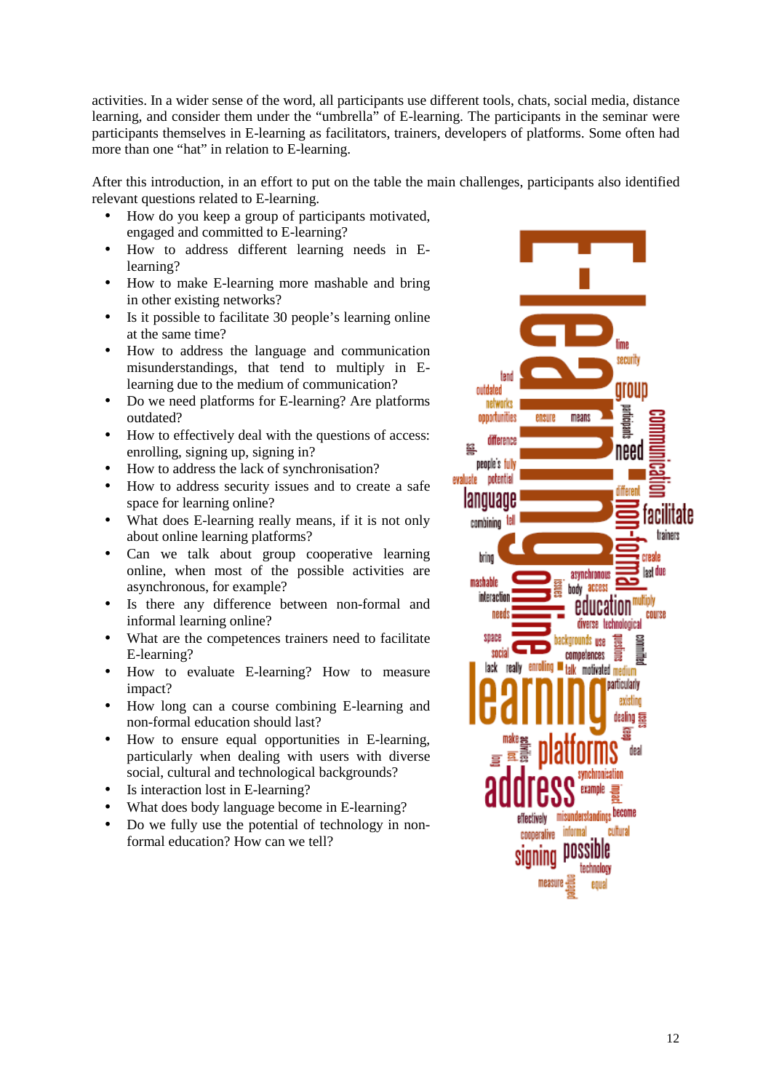activities. In a wider sense of the word, all participants use different tools, chats, social media, distance learning, and consider them under the "umbrella" of E-learning. The participants in the seminar were participants themselves in E-learning as facilitators, trainers, developers of platforms. Some often had more than one "hat" in relation to E-learning.

After this introduction, in an effort to put on the table the main challenges, participants also identified relevant questions related to E-learning.

- How do you keep a group of participants motivated, engaged and committed to E-learning?
- How to address different learning needs in Elearning?
- How to make E-learning more mashable and bring in other existing networks?
- Is it possible to facilitate 30 people's learning online at the same time?
- How to address the language and communication misunderstandings, that tend to multiply in Elearning due to the medium of communication?
- Do we need platforms for E-learning? Are platforms outdated?
- How to effectively deal with the questions of access: enrolling, signing up, signing in?
- How to address the lack of synchronisation?
- How to address security issues and to create a safe space for learning online?
- What does E-learning really means, if it is not only about online learning platforms?
- Can we talk about group cooperative learning online, when most of the possible activities are asynchronous, for example?
- Is there any difference between non-formal and informal learning online?
- What are the competences trainers need to facilitate E-learning?
- How to evaluate E-learning? How to measure impact?
- How long can a course combining E-learning and non-formal education should last?
- How to ensure equal opportunities in E-learning, particularly when dealing with users with diverse social, cultural and technological backgrounds?
- Is interaction lost in E-learning?
- What does body language become in E-learning?
- Do we fully use the potential of technology in nonformal education? How can we tell?

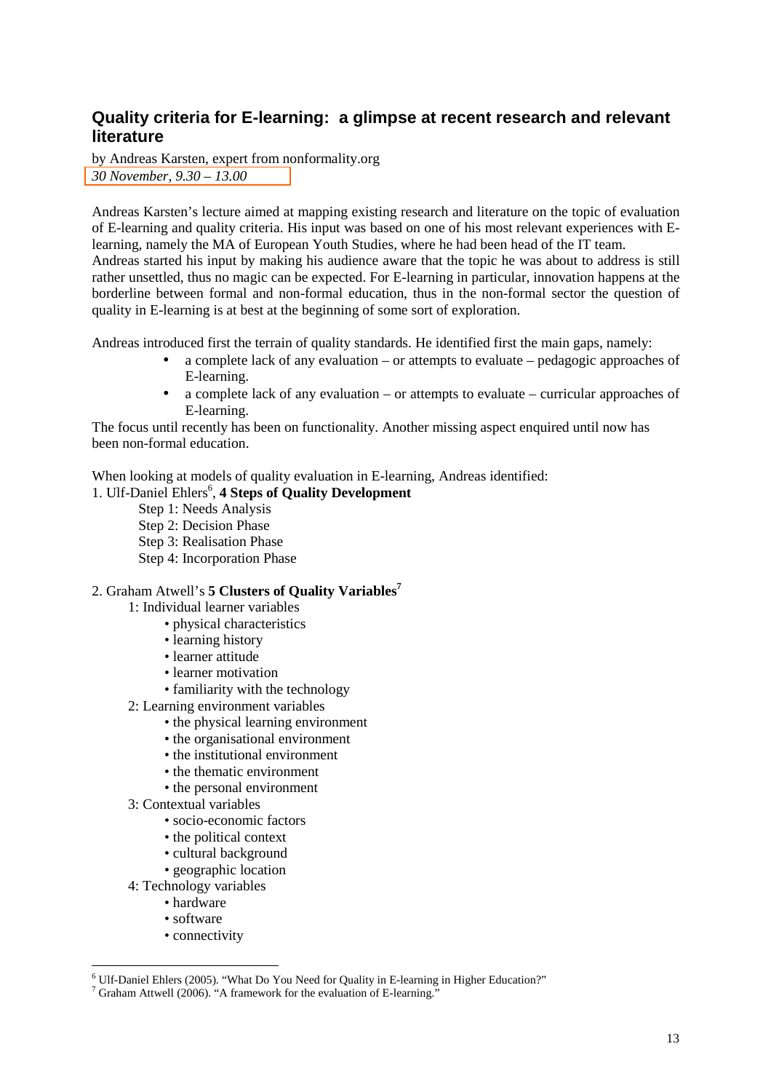# **Quality criteria for E-learning: a glimpse at recent research and relevant literature**

by Andreas Karsten, expert from nonformality.org *30 November, 9.30 – 13.00* 

Andreas Karsten's lecture aimed at mapping existing research and literature on the topic of evaluation of E-learning and quality criteria. His input was based on one of his most relevant experiences with Elearning, namely the MA of European Youth Studies, where he had been head of the IT team. Andreas started his input by making his audience aware that the topic he was about to address is still rather unsettled, thus no magic can be expected. For E-learning in particular, innovation happens at the borderline between formal and non-formal education, thus in the non-formal sector the question of quality in E-learning is at best at the beginning of some sort of exploration.

Andreas introduced first the terrain of quality standards. He identified first the main gaps, namely:

- a complete lack of any evaluation or attempts to evaluate pedagogic approaches of E-learning.
- a complete lack of any evaluation or attempts to evaluate curricular approaches of E-learning.

The focus until recently has been on functionality. Another missing aspect enquired until now has been non-formal education.

When looking at models of quality evaluation in E-learning, Andreas identified:

# 1. Ulf-Daniel Ehlers<sup>6</sup>, 4 Steps of Quality Development

- Step 1: Needs Analysis
- Step 2: Decision Phase
- Step 3: Realisation Phase
- Step 4: Incorporation Phase

# 2. Graham Atwell's **5 Clusters of Quality Variables<sup>7</sup>**

- 1: Individual learner variables
	- physical characteristics
	- learning history
	- learner attitude
	- learner motivation
	- familiarity with the technology
	- 2: Learning environment variables
		- the physical learning environment
		- the organisational environment
		- the institutional environment
		- the thematic environment
		- the personal environment
	- 3: Contextual variables
		- socio-economic factors
		- the political context
		- cultural background
		- geographic location
	- 4: Technology variables
		- hardware
		- software

 $\overline{a}$ 

• connectivity

<sup>&</sup>lt;sup>6</sup> Ulf-Daniel Ehlers (2005). "What Do You Need for Quality in E-learning in Higher Education?"

 $7$  Graham Attwell (2006). "A framework for the evaluation of E-learning."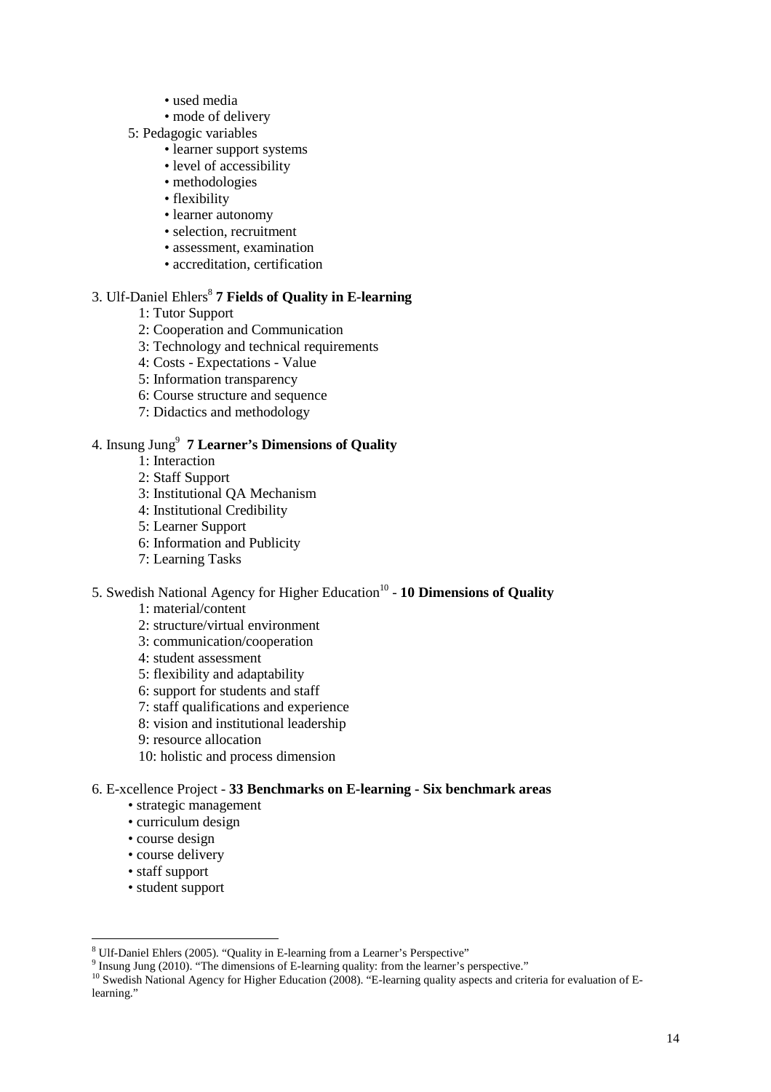- used media
- mode of delivery
- 5: Pedagogic variables
	- learner support systems
	- level of accessibility
	- methodologies
	- flexibility
	- learner autonomy
	- selection, recruitment
	- assessment, examination
	- accreditation, certification

# 3. Ulf-Daniel Ehlers<sup>8</sup> 7 Fields of Quality in E-learning

- 1: Tutor Support
- 2: Cooperation and Communication
- 3: Technology and technical requirements
- 4: Costs Expectations Value
- 5: Information transparency
- 6: Course structure and sequence
- 7: Didactics and methodology

# 4. Insung Jung<sup>9</sup> **7 Learner's Dimensions of Quality**

- 1: Interaction
- 2: Staff Support
- 3: Institutional QA Mechanism
- 4: Institutional Credibility
- 5: Learner Support
- 6: Information and Publicity
- 7: Learning Tasks

# 5. Swedish National Agency for Higher Education<sup>10</sup> - 10 Dimensions of Quality

- 1: material/content
- 2: structure/virtual environment
- 3: communication/cooperation
- 4: student assessment
- 5: flexibility and adaptability
- 6: support for students and staff
- 7: staff qualifications and experience
- 8: vision and institutional leadership
- 9: resource allocation
- 10: holistic and process dimension

# 6. E-xcellence Project - **33 Benchmarks on E-learning - Six benchmark areas**

- strategic management
- curriculum design
- course design
- course delivery
- staff support
- student support

<sup>&</sup>lt;sup>8</sup> Ulf-Daniel Ehlers (2005). "Quality in E-learning from a Learner's Perspective"

 $9$  Insung Jung (2010). "The dimensions of E-learning quality: from the learner's perspective."

<sup>10</sup> Swedish National Agency for Higher Education (2008). "E-learning quality aspects and criteria for evaluation of Elearning."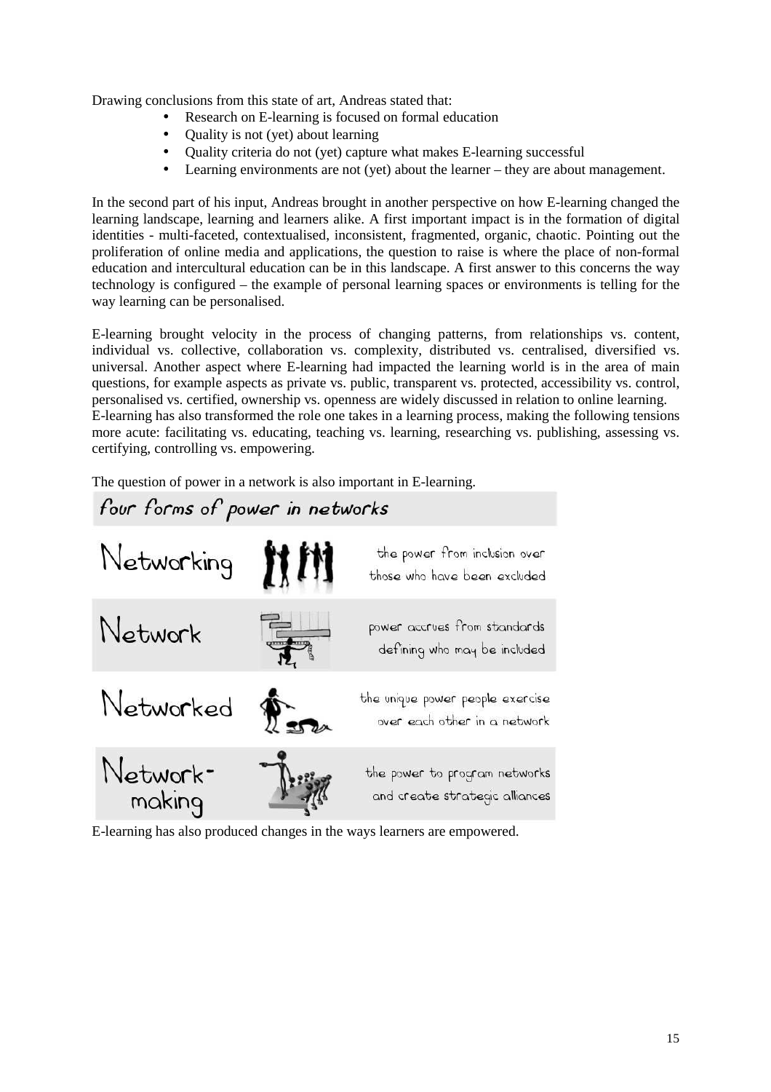Drawing conclusions from this state of art, Andreas stated that:

- Research on E-learning is focused on formal education
- Quality is not (yet) about learning
- Quality criteria do not (yet) capture what makes E-learning successful
- Learning environments are not (yet) about the learner they are about management.

In the second part of his input, Andreas brought in another perspective on how E-learning changed the learning landscape, learning and learners alike. A first important impact is in the formation of digital identities - multi-faceted, contextualised, inconsistent, fragmented, organic, chaotic. Pointing out the proliferation of online media and applications, the question to raise is where the place of non-formal education and intercultural education can be in this landscape. A first answer to this concerns the way technology is configured – the example of personal learning spaces or environments is telling for the way learning can be personalised.

E-learning brought velocity in the process of changing patterns, from relationships vs. content, individual vs. collective, collaboration vs. complexity, distributed vs. centralised, diversified vs. universal. Another aspect where E-learning had impacted the learning world is in the area of main questions, for example aspects as private vs. public, transparent vs. protected, accessibility vs. control, personalised vs. certified, ownership vs. openness are widely discussed in relation to online learning. E-learning has also transformed the role one takes in a learning process, making the following tensions more acute: facilitating vs. educating, teaching vs. learning, researching vs. publishing, assessing vs. certifying, controlling vs. empowering.

The question of power in a network is also important in E-learning.



E-learning has also produced changes in the ways learners are empowered.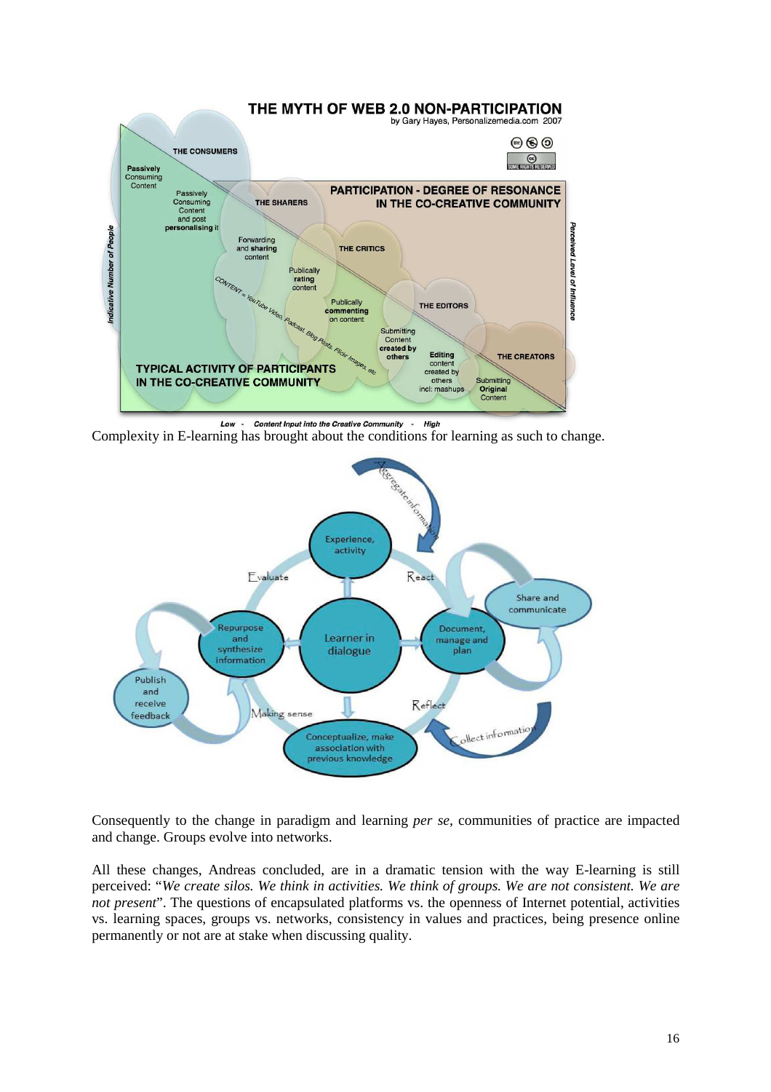

Hiah Complexity in E-learning has brought about the conditions for learning as such to change.



Consequently to the change in paradigm and learning *per se,* communities of practice are impacted and change. Groups evolve into networks.

All these changes, Andreas concluded, are in a dramatic tension with the way E-learning is still perceived: "*We create silos. We think in activities. We think of groups. We are not consistent. We are not present*". The questions of encapsulated platforms vs. the openness of Internet potential, activities vs. learning spaces, groups vs. networks, consistency in values and practices, being presence online permanently or not are at stake when discussing quality.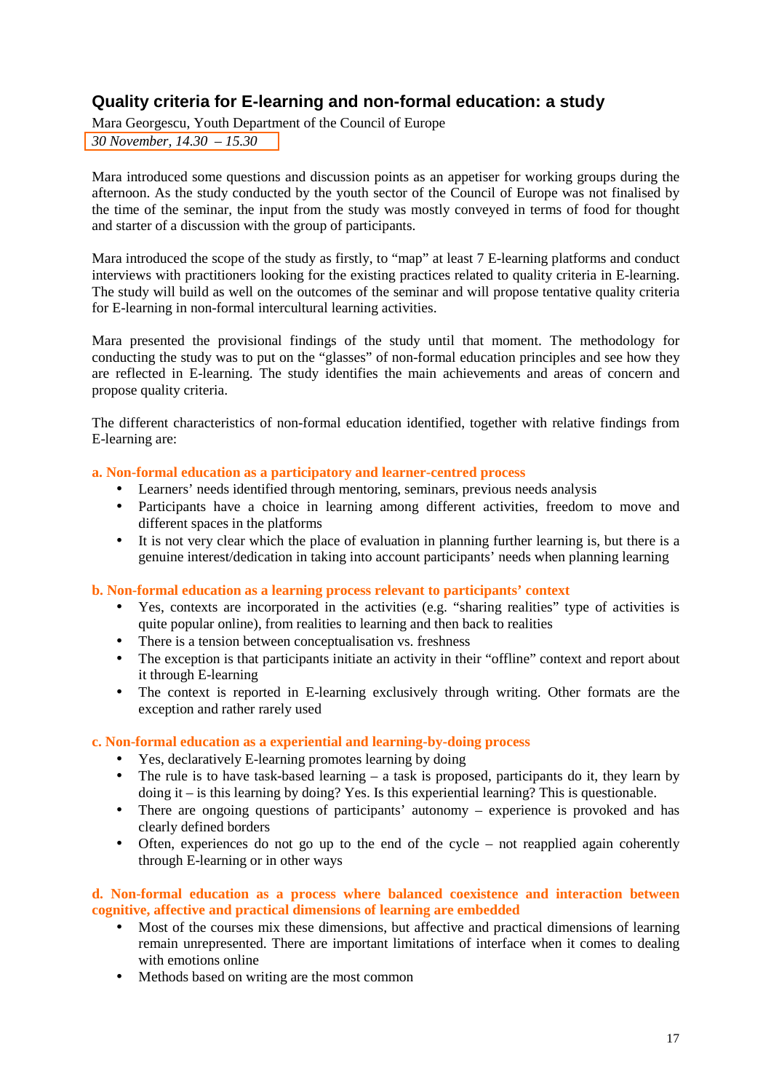# **Quality criteria for E-learning and non-formal education: a study**

Mara Georgescu, Youth Department of the Council of Europe *30 November, 14.30 – 15.30* 

Mara introduced some questions and discussion points as an appetiser for working groups during the afternoon. As the study conducted by the youth sector of the Council of Europe was not finalised by the time of the seminar, the input from the study was mostly conveyed in terms of food for thought and starter of a discussion with the group of participants.

Mara introduced the scope of the study as firstly, to "map" at least 7 E-learning platforms and conduct interviews with practitioners looking for the existing practices related to quality criteria in E-learning. The study will build as well on the outcomes of the seminar and will propose tentative quality criteria for E-learning in non-formal intercultural learning activities.

Mara presented the provisional findings of the study until that moment. The methodology for conducting the study was to put on the "glasses" of non-formal education principles and see how they are reflected in E-learning. The study identifies the main achievements and areas of concern and propose quality criteria.

The different characteristics of non-formal education identified, together with relative findings from E-learning are:

# **a. Non-formal education as a participatory and learner-centred process**

- Learners' needs identified through mentoring, seminars, previous needs analysis
- Participants have a choice in learning among different activities, freedom to move and different spaces in the platforms
- It is not very clear which the place of evaluation in planning further learning is, but there is a genuine interest/dedication in taking into account participants' needs when planning learning

**b. Non-formal education as a learning process relevant to participants' context** 

- Yes, contexts are incorporated in the activities (e.g. "sharing realities" type of activities is quite popular online), from realities to learning and then back to realities
- There is a tension between conceptualisation vs. freshness
- The exception is that participants initiate an activity in their "offline" context and report about it through E-learning
- The context is reported in E-learning exclusively through writing. Other formats are the exception and rather rarely used

# **c. Non-formal education as a experiential and learning-by-doing process**

- Yes, declaratively E-learning promotes learning by doing
- The rule is to have task-based learning  $-$  a task is proposed, participants do it, they learn by doing it – is this learning by doing? Yes. Is this experiential learning? This is questionable.
- There are ongoing questions of participants' autonomy experience is provoked and has clearly defined borders
- Often, experiences do not go up to the end of the cycle not reapplied again coherently through E-learning or in other ways

# **d. Non-formal education as a process where balanced coexistence and interaction between cognitive, affective and practical dimensions of learning are embedded**

- Most of the courses mix these dimensions, but affective and practical dimensions of learning remain unrepresented. There are important limitations of interface when it comes to dealing with emotions online
- Methods based on writing are the most common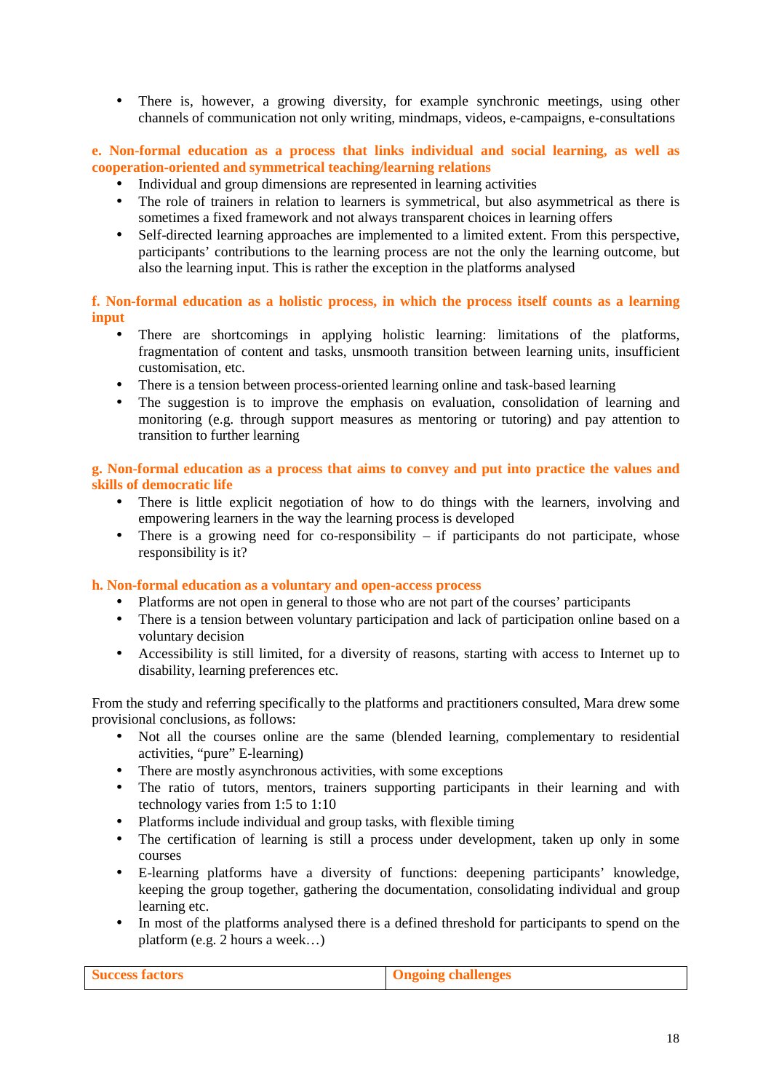• There is, however, a growing diversity, for example synchronic meetings, using other channels of communication not only writing, mindmaps, videos, e-campaigns, e-consultations

**e. Non-formal education as a process that links individual and social learning, as well as cooperation-oriented and symmetrical teaching/learning relations** 

- Individual and group dimensions are represented in learning activities
- The role of trainers in relation to learners is symmetrical, but also asymmetrical as there is sometimes a fixed framework and not always transparent choices in learning offers
- Self-directed learning approaches are implemented to a limited extent. From this perspective, participants' contributions to the learning process are not the only the learning outcome, but also the learning input. This is rather the exception in the platforms analysed

**f. Non-formal education as a holistic process, in which the process itself counts as a learning input** 

- There are shortcomings in applying holistic learning: limitations of the platforms, fragmentation of content and tasks, unsmooth transition between learning units, insufficient customisation, etc.
- There is a tension between process-oriented learning online and task-based learning
- The suggestion is to improve the emphasis on evaluation, consolidation of learning and monitoring (e.g. through support measures as mentoring or tutoring) and pay attention to transition to further learning

**g. Non-formal education as a process that aims to convey and put into practice the values and skills of democratic life** 

- There is little explicit negotiation of how to do things with the learners, involving and empowering learners in the way the learning process is developed
- There is a growing need for co-responsibility if participants do not participate, whose responsibility is it?

**h. Non-formal education as a voluntary and open-access process** 

- Platforms are not open in general to those who are not part of the courses' participants
- There is a tension between voluntary participation and lack of participation online based on a voluntary decision
- Accessibility is still limited, for a diversity of reasons, starting with access to Internet up to disability, learning preferences etc.

From the study and referring specifically to the platforms and practitioners consulted, Mara drew some provisional conclusions, as follows:

- Not all the courses online are the same (blended learning, complementary to residential activities, "pure" E-learning)
- There are mostly asynchronous activities, with some exceptions
- The ratio of tutors, mentors, trainers supporting participants in their learning and with technology varies from 1:5 to 1:10
- Platforms include individual and group tasks, with flexible timing
- The certification of learning is still a process under development, taken up only in some courses
- E-learning platforms have a diversity of functions: deepening participants' knowledge, keeping the group together, gathering the documentation, consolidating individual and group learning etc.
- In most of the platforms analysed there is a defined threshold for participants to spend on the platform (e.g. 2 hours a week…)

| <b>Success factors</b> | <b>Congoing challenges</b> |
|------------------------|----------------------------|
|                        |                            |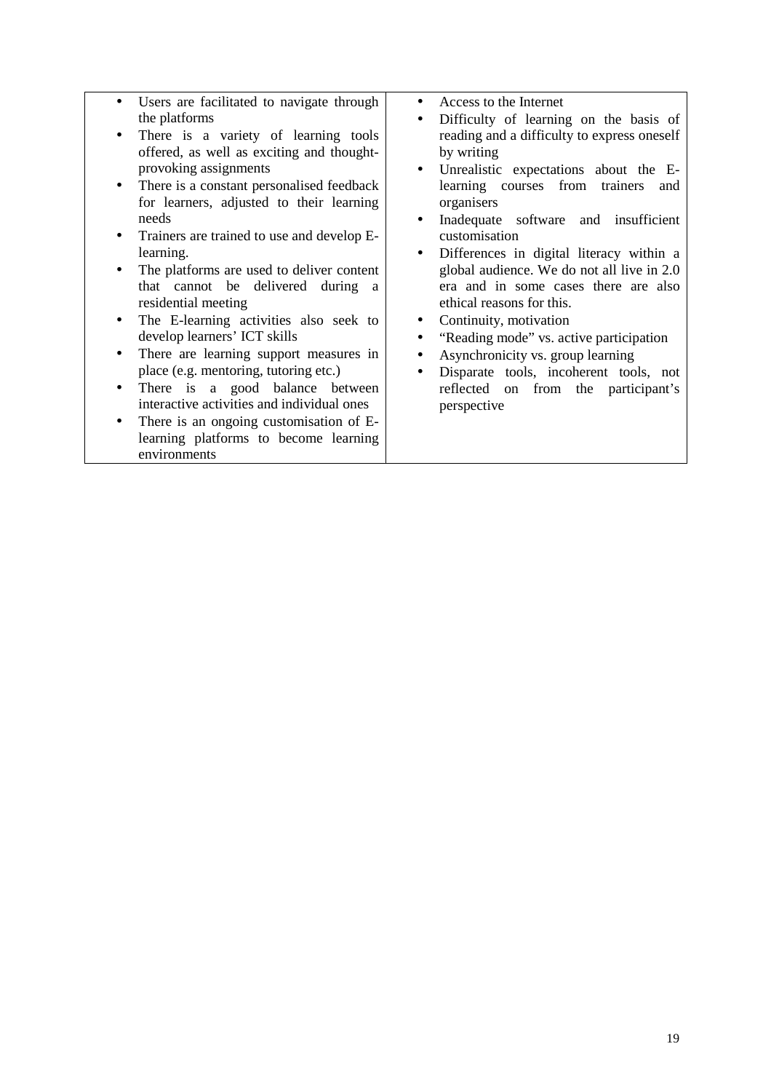- Users are facilitated to navigate through the platforms
- There is a variety of learning tools offered, as well as exciting and thoughtprovoking assignments
- There is a constant personalised feedback for learners, adjusted to their learning needs
- Trainers are trained to use and develop Elearning.
- The platforms are used to deliver content that cannot be delivered during a residential meeting
- The E-learning activities also seek to develop learners' ICT skills
- There are learning support measures in place (e.g. mentoring, tutoring etc.)
- There is a good balance between interactive activities and individual ones
- There is an ongoing customisation of Elearning platforms to become learning environments
- Access to the Internet
- Difficulty of learning on the basis of reading and a difficulty to express oneself by writing
- Unrealistic expectations about the Elearning courses from trainers and organisers
- Inadequate software and insufficient customisation
- Differences in digital literacy within a global audience. We do not all live in 2.0 era and in some cases there are also ethical reasons for this.
- Continuity, motivation
- "Reading mode" vs. active participation
- Asynchronicity vs. group learning
- Disparate tools, incoherent tools, not reflected on from the participant's perspective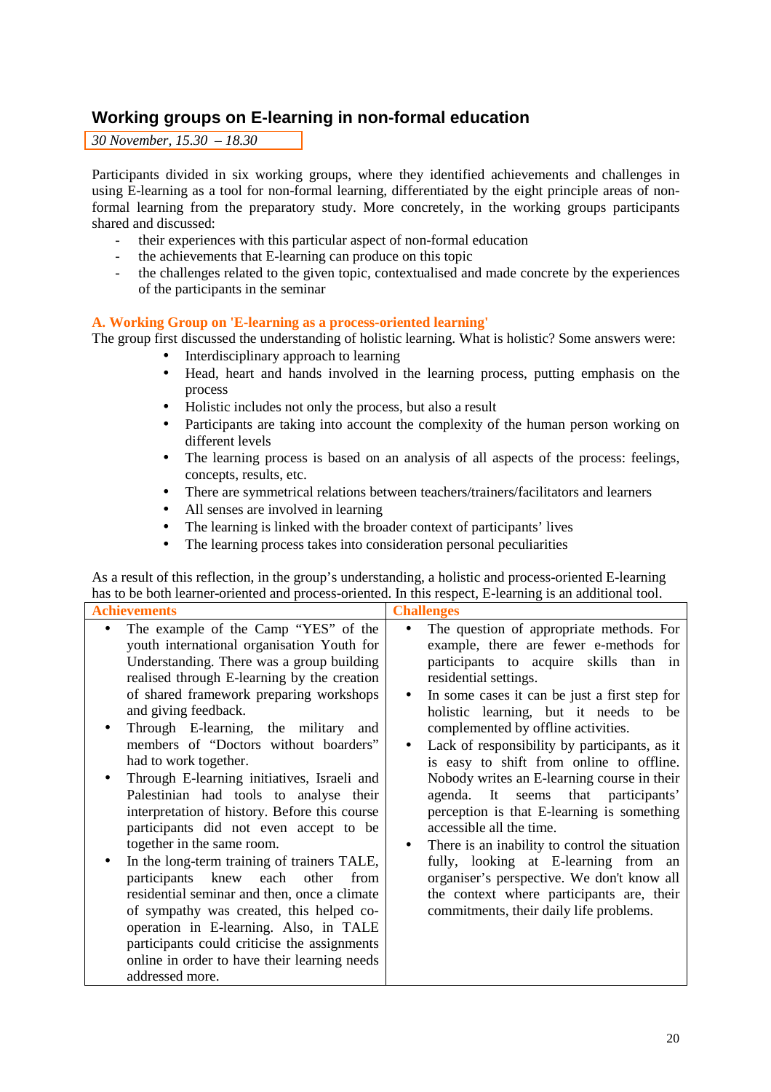# **Working groups on E-learning in non-formal education**

*30 November, 15.30 – 18.30* 

Participants divided in six working groups, where they identified achievements and challenges in using E-learning as a tool for non-formal learning, differentiated by the eight principle areas of nonformal learning from the preparatory study. More concretely, in the working groups participants shared and discussed:

- their experiences with this particular aspect of non-formal education
- the achievements that E-learning can produce on this topic
- the challenges related to the given topic, contextualised and made concrete by the experiences of the participants in the seminar

# **A. Working Group on 'E-learning as a process-oriented learning'**

The group first discussed the understanding of holistic learning. What is holistic? Some answers were:

- Interdisciplinary approach to learning
- Head, heart and hands involved in the learning process, putting emphasis on the process
- Holistic includes not only the process, but also a result
- Participants are taking into account the complexity of the human person working on different levels
- The learning process is based on an analysis of all aspects of the process: feelings, concepts, results, etc.
- There are symmetrical relations between teachers/trainers/facilitators and learners
- All senses are involved in learning
- The learning is linked with the broader context of participants' lives
- The learning process takes into consideration personal peculiarities

As a result of this reflection, in the group's understanding, a holistic and process-oriented E-learning has to be both learner-oriented and process-oriented. In this respect, E-learning is an additional tool.

| <b>Achievements</b>                                                                                                                                                                                                                                                                                                                                                                                                                                                                                                                                                                                                                                                                                                                                                                                                                                                                                                                           | $\frac{1}{2}$<br><b>Challenges</b>                                                                                                                                                                                                                                                                                                                                                                                                                                                                                                                                                                                                                                                                                                                                                                            |
|-----------------------------------------------------------------------------------------------------------------------------------------------------------------------------------------------------------------------------------------------------------------------------------------------------------------------------------------------------------------------------------------------------------------------------------------------------------------------------------------------------------------------------------------------------------------------------------------------------------------------------------------------------------------------------------------------------------------------------------------------------------------------------------------------------------------------------------------------------------------------------------------------------------------------------------------------|---------------------------------------------------------------------------------------------------------------------------------------------------------------------------------------------------------------------------------------------------------------------------------------------------------------------------------------------------------------------------------------------------------------------------------------------------------------------------------------------------------------------------------------------------------------------------------------------------------------------------------------------------------------------------------------------------------------------------------------------------------------------------------------------------------------|
| The example of the Camp "YES" of the<br>youth international organisation Youth for<br>Understanding. There was a group building<br>realised through E-learning by the creation<br>of shared framework preparing workshops<br>and giving feedback.<br>Through E-learning, the military<br>and<br>members of "Doctors without boarders"<br>had to work together.<br>Through E-learning initiatives, Israeli and<br>Palestinian had tools to analyse their<br>interpretation of history. Before this course<br>participants did not even accept to be<br>together in the same room.<br>In the long-term training of trainers TALE,<br>$\bullet$<br>participants knew each other<br>from<br>residential seminar and then, once a climate<br>of sympathy was created, this helped co-<br>operation in E-learning. Also, in TALE<br>participants could criticise the assignments<br>online in order to have their learning needs<br>addressed more. | The question of appropriate methods. For<br>$\bullet$<br>example, there are fewer e-methods for<br>participants to acquire skills than in<br>residential settings.<br>In some cases it can be just a first step for<br>$\bullet$<br>holistic learning, but it needs to be<br>complemented by offline activities.<br>Lack of responsibility by participants, as it<br>is easy to shift from online to offline.<br>Nobody writes an E-learning course in their<br>agenda. It seems that participants'<br>perception is that E-learning is something<br>accessible all the time.<br>There is an inability to control the situation<br>fully, looking at E-learning from an<br>organiser's perspective. We don't know all<br>the context where participants are, their<br>commitments, their daily life problems. |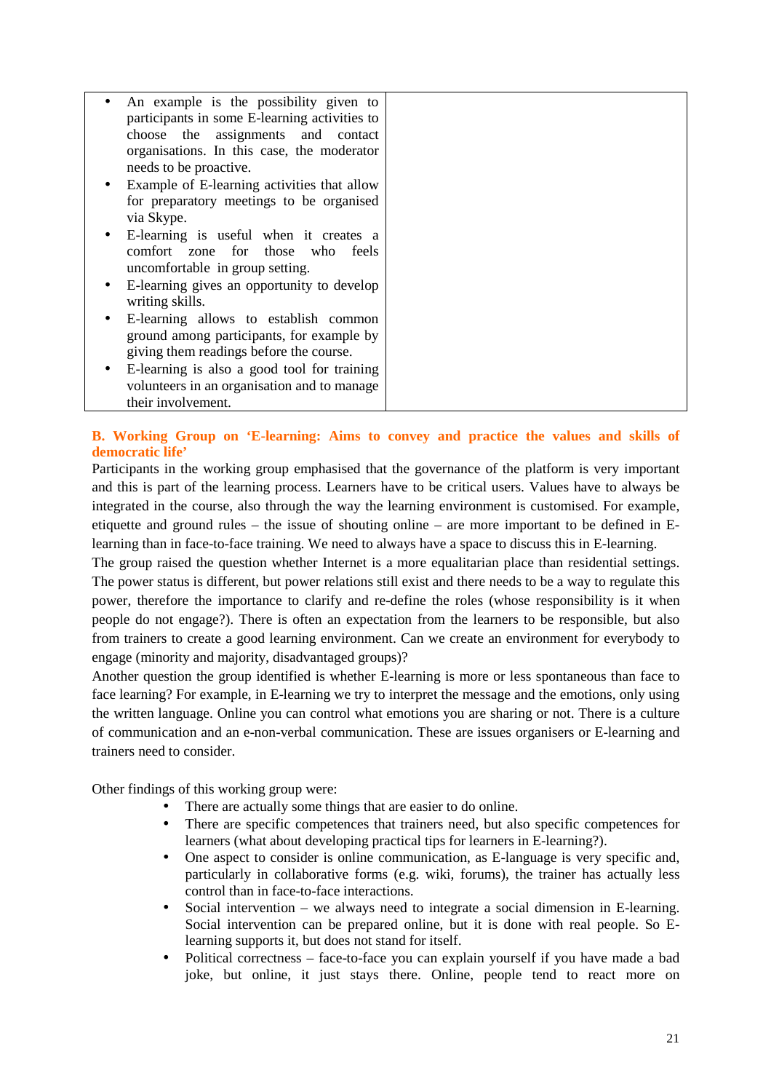|           | An example is the possibility given to<br>participants in some E-learning activities to |  |
|-----------|-----------------------------------------------------------------------------------------|--|
|           | choose the assignments and contact                                                      |  |
|           | organisations. In this case, the moderator                                              |  |
|           | needs to be proactive.                                                                  |  |
| $\bullet$ | Example of E-learning activities that allow                                             |  |
|           | for preparatory meetings to be organised                                                |  |
|           | via Skype.                                                                              |  |
| $\bullet$ | E-learning is useful when it creates a                                                  |  |
|           | comfort zone for those who feels                                                        |  |
|           | uncomfortable in group setting.                                                         |  |
| ٠         | E-learning gives an opportunity to develop                                              |  |
|           | writing skills.                                                                         |  |
| ٠         | E-learning allows to establish common                                                   |  |
|           | ground among participants, for example by                                               |  |
|           | giving them readings before the course.                                                 |  |
|           | E-learning is also a good tool for training                                             |  |
|           | volunteers in an organisation and to manage                                             |  |
|           | their involvement.                                                                      |  |

# **B. Working Group on 'E-learning: Aims to convey and practice the values and skills of democratic life'**

Participants in the working group emphasised that the governance of the platform is very important and this is part of the learning process. Learners have to be critical users. Values have to always be integrated in the course, also through the way the learning environment is customised. For example, etiquette and ground rules – the issue of shouting online – are more important to be defined in Elearning than in face-to-face training. We need to always have a space to discuss this in E-learning.

The group raised the question whether Internet is a more equalitarian place than residential settings. The power status is different, but power relations still exist and there needs to be a way to regulate this power, therefore the importance to clarify and re-define the roles (whose responsibility is it when people do not engage?). There is often an expectation from the learners to be responsible, but also from trainers to create a good learning environment. Can we create an environment for everybody to engage (minority and majority, disadvantaged groups)?

Another question the group identified is whether E-learning is more or less spontaneous than face to face learning? For example, in E-learning we try to interpret the message and the emotions, only using the written language. Online you can control what emotions you are sharing or not. There is a culture of communication and an e-non-verbal communication. These are issues organisers or E-learning and trainers need to consider.

Other findings of this working group were:

- There are actually some things that are easier to do online.
- There are specific competences that trainers need, but also specific competences for learners (what about developing practical tips for learners in E-learning?).
- One aspect to consider is online communication, as E-language is very specific and, particularly in collaborative forms (e.g. wiki, forums), the trainer has actually less control than in face-to-face interactions.
- Social intervention we always need to integrate a social dimension in E-learning. Social intervention can be prepared online, but it is done with real people. So Elearning supports it, but does not stand for itself.
- Political correctness face-to-face you can explain yourself if you have made a bad joke, but online, it just stays there. Online, people tend to react more on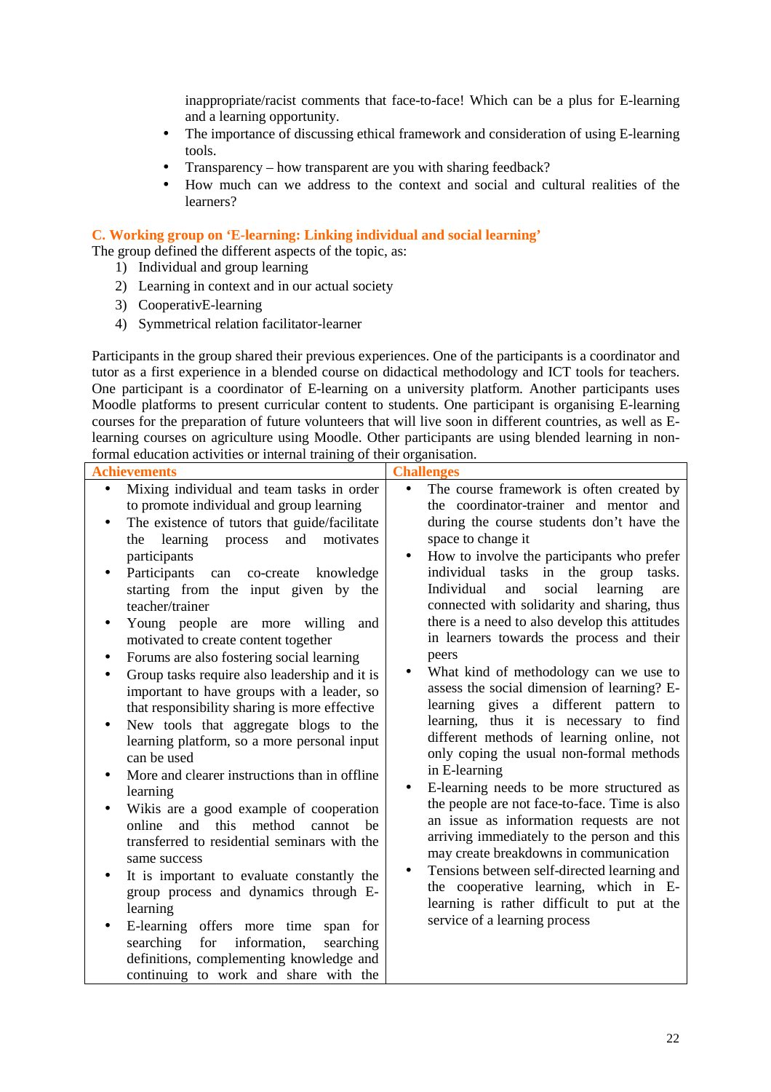inappropriate/racist comments that face-to-face! Which can be a plus for E-learning and a learning opportunity.

- The importance of discussing ethical framework and consideration of using E-learning tools.
- Transparency how transparent are you with sharing feedback?
- How much can we address to the context and social and cultural realities of the learners?

**C. Working group on 'E-learning: Linking individual and social learning'** 

The group defined the different aspects of the topic, as:

- 1) Individual and group learning
	- 2) Learning in context and in our actual society
	- 3) CooperativE-learning
- 4) Symmetrical relation facilitator-learner

Participants in the group shared their previous experiences. One of the participants is a coordinator and tutor as a first experience in a blended course on didactical methodology and ICT tools for teachers. One participant is a coordinator of E-learning on a university platform. Another participants uses Moodle platforms to present curricular content to students. One participant is organising E-learning courses for the preparation of future volunteers that will live soon in different countries, as well as Elearning courses on agriculture using Moodle. Other participants are using blended learning in nonformal education activities or internal training of their organisation.

| <b>Achievements</b>                                                                                                                                                                                                                                                                                                                                                                                                                                                                                                                                                                                                                                                                                                                                                                                                                                                                                                                                                                                                                                                                                                                                                                                                                                                                           | <b>Challenges</b>                                                                                                                                                                                                                                                                                                                                                                                                                                                                                                                                                                                                                                                                                                                                                                                                                                                                                                                                                                                                                                                                                                                                                              |
|-----------------------------------------------------------------------------------------------------------------------------------------------------------------------------------------------------------------------------------------------------------------------------------------------------------------------------------------------------------------------------------------------------------------------------------------------------------------------------------------------------------------------------------------------------------------------------------------------------------------------------------------------------------------------------------------------------------------------------------------------------------------------------------------------------------------------------------------------------------------------------------------------------------------------------------------------------------------------------------------------------------------------------------------------------------------------------------------------------------------------------------------------------------------------------------------------------------------------------------------------------------------------------------------------|--------------------------------------------------------------------------------------------------------------------------------------------------------------------------------------------------------------------------------------------------------------------------------------------------------------------------------------------------------------------------------------------------------------------------------------------------------------------------------------------------------------------------------------------------------------------------------------------------------------------------------------------------------------------------------------------------------------------------------------------------------------------------------------------------------------------------------------------------------------------------------------------------------------------------------------------------------------------------------------------------------------------------------------------------------------------------------------------------------------------------------------------------------------------------------|
| Mixing individual and team tasks in order<br>$\bullet$<br>to promote individual and group learning<br>The existence of tutors that guide/facilitate<br>$\bullet$<br>and<br>learning<br>process<br>motivates<br>the<br>participants<br>Participants<br>knowledge<br>co-create<br>can<br>starting from the input given by the<br>teacher/trainer<br>Young people are more willing<br>and<br>$\bullet$<br>motivated to create content together<br>Forums are also fostering social learning<br>٠<br>Group tasks require also leadership and it is<br>important to have groups with a leader, so<br>that responsibility sharing is more effective<br>New tools that aggregate blogs to the<br>$\bullet$<br>learning platform, so a more personal input<br>can be used<br>More and clearer instructions than in offline<br>$\bullet$<br>learning<br>Wikis are a good example of cooperation<br>this<br>and<br>method<br>online<br>cannot<br>be<br>transferred to residential seminars with the<br>same success<br>It is important to evaluate constantly the<br>group process and dynamics through E-<br>learning<br>E-learning offers more time<br>span for<br>information,<br>searching<br>searching<br>for<br>definitions, complementing knowledge and<br>continuing to work and share with the | The course framework is often created by<br>$\bullet$<br>the coordinator-trainer and mentor and<br>during the course students don't have the<br>space to change it<br>How to involve the participants who prefer<br>$\bullet$<br>individual tasks in the group tasks.<br>Individual<br>social<br>learning<br>and<br>are<br>connected with solidarity and sharing, thus<br>there is a need to also develop this attitudes<br>in learners towards the process and their<br>peers<br>What kind of methodology can we use to<br>assess the social dimension of learning? E-<br>learning gives a different pattern to<br>learning, thus it is necessary to find<br>different methods of learning online, not<br>only coping the usual non-formal methods<br>in E-learning<br>E-learning needs to be more structured as<br>the people are not face-to-face. Time is also<br>an issue as information requests are not<br>arriving immediately to the person and this<br>may create breakdowns in communication<br>Tensions between self-directed learning and<br>the cooperative learning, which in E-<br>learning is rather difficult to put at the<br>service of a learning process |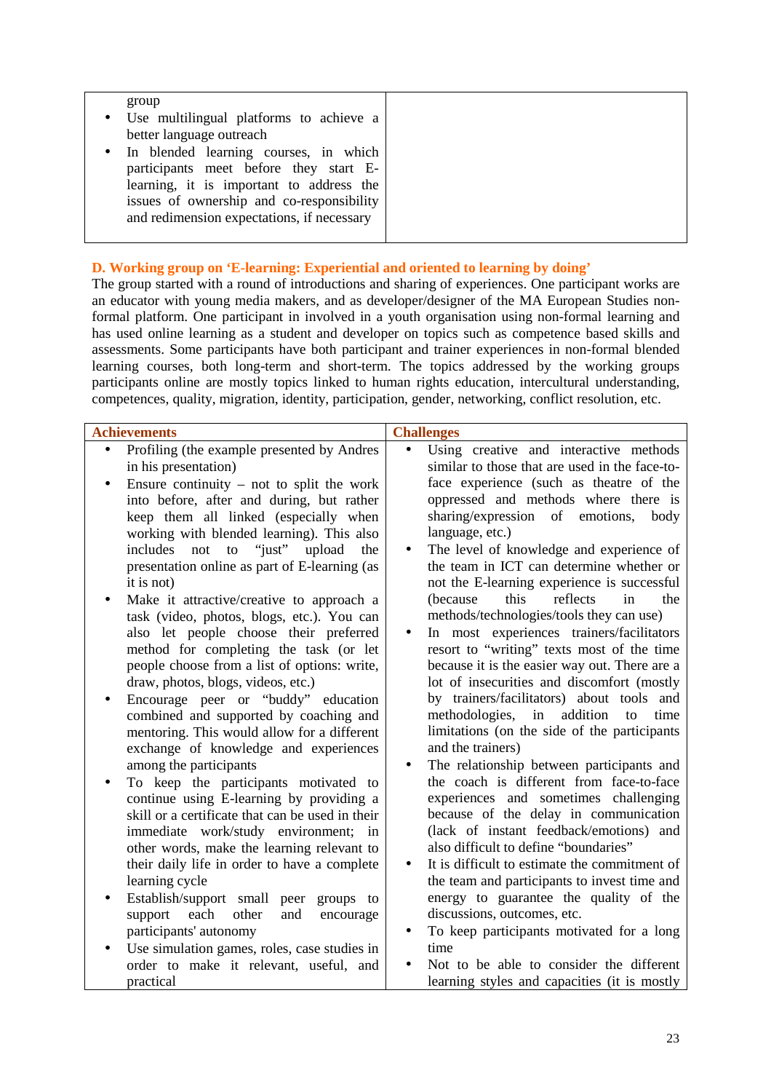| group<br>Use multilingual platforms to achieve a<br>$\bullet$<br>better language outreach |  |
|-------------------------------------------------------------------------------------------|--|
| • In blended learning courses, in which                                                   |  |
| participants meet before they start E-                                                    |  |
| learning, it is important to address the<br>issues of ownership and co-responsibility     |  |
| and redimension expectations, if necessary                                                |  |

# **D. Working group on 'E-learning: Experiential and oriented to learning by doing'**

The group started with a round of introductions and sharing of experiences. One participant works are an educator with young media makers, and as developer/designer of the MA European Studies nonformal platform. One participant in involved in a youth organisation using non-formal learning and has used online learning as a student and developer on topics such as competence based skills and assessments. Some participants have both participant and trainer experiences in non-formal blended learning courses, both long-term and short-term. The topics addressed by the working groups participants online are mostly topics linked to human rights education, intercultural understanding, competences, quality, migration, identity, participation, gender, networking, conflict resolution, etc.

| <b>Achievements</b> |                                                                                                                                                                                                                                                                             |           | <b>Challenges</b>                                                                                                                                                                                                                                                               |
|---------------------|-----------------------------------------------------------------------------------------------------------------------------------------------------------------------------------------------------------------------------------------------------------------------------|-----------|---------------------------------------------------------------------------------------------------------------------------------------------------------------------------------------------------------------------------------------------------------------------------------|
|                     | Profiling (the example presented by Andres<br>in his presentation)<br>Ensure continuity $-$ not to split the work                                                                                                                                                           | $\bullet$ | Using creative and interactive methods<br>similar to those that are used in the face-to-<br>face experience (such as theatre of the                                                                                                                                             |
|                     | into before, after and during, but rather<br>keep them all linked (especially when<br>working with blended learning). This also<br>to "just"<br>not<br>upload<br>includes<br>the<br>presentation online as part of E-learning (as<br>it is not)                             | $\bullet$ | oppressed and methods where there is<br>sharing/expression<br>of<br>emotions,<br>body<br>language, etc.)<br>The level of knowledge and experience of<br>the team in ICT can determine whether or<br>not the E-learning experience is successful                                 |
| $\bullet$           | Make it attractive/creative to approach a<br>task (video, photos, blogs, etc.). You can<br>also let people choose their preferred<br>method for completing the task (or let<br>people choose from a list of options: write,<br>draw, photos, blogs, videos, etc.)           | $\bullet$ | this<br>reflects<br>(because<br>in<br>the<br>methods/technologies/tools they can use)<br>In most experiences trainers/facilitators<br>resort to "writing" texts most of the time<br>because it is the easier way out. There are a<br>lot of insecurities and discomfort (mostly |
|                     | Encourage peer or "buddy" education<br>combined and supported by coaching and<br>mentoring. This would allow for a different<br>exchange of knowledge and experiences<br>among the participants                                                                             | $\bullet$ | by trainers/facilitators) about tools and<br>addition<br>methodologies,<br>in<br>time<br>to<br>limitations (on the side of the participants<br>and the trainers)<br>The relationship between participants and                                                                   |
|                     | To keep the participants motivated to<br>continue using E-learning by providing a<br>skill or a certificate that can be used in their<br>immediate work/study environment; in<br>other words, make the learning relevant to<br>their daily life in order to have a complete | $\bullet$ | the coach is different from face-to-face<br>experiences and sometimes challenging<br>because of the delay in communication<br>(lack of instant feedback/emotions) and<br>also difficult to define "boundaries"<br>It is difficult to estimate the commitment of                 |
|                     | learning cycle<br>Establish/support small peer<br>groups to<br>each<br>other<br>and<br>support<br>encourage<br>participants' autonomy<br>Use simulation games, roles, case studies in                                                                                       | $\bullet$ | the team and participants to invest time and<br>energy to guarantee the quality of the<br>discussions, outcomes, etc.<br>To keep participants motivated for a long<br>time                                                                                                      |
|                     | order to make it relevant, useful, and<br>practical                                                                                                                                                                                                                         |           | Not to be able to consider the different<br>learning styles and capacities (it is mostly                                                                                                                                                                                        |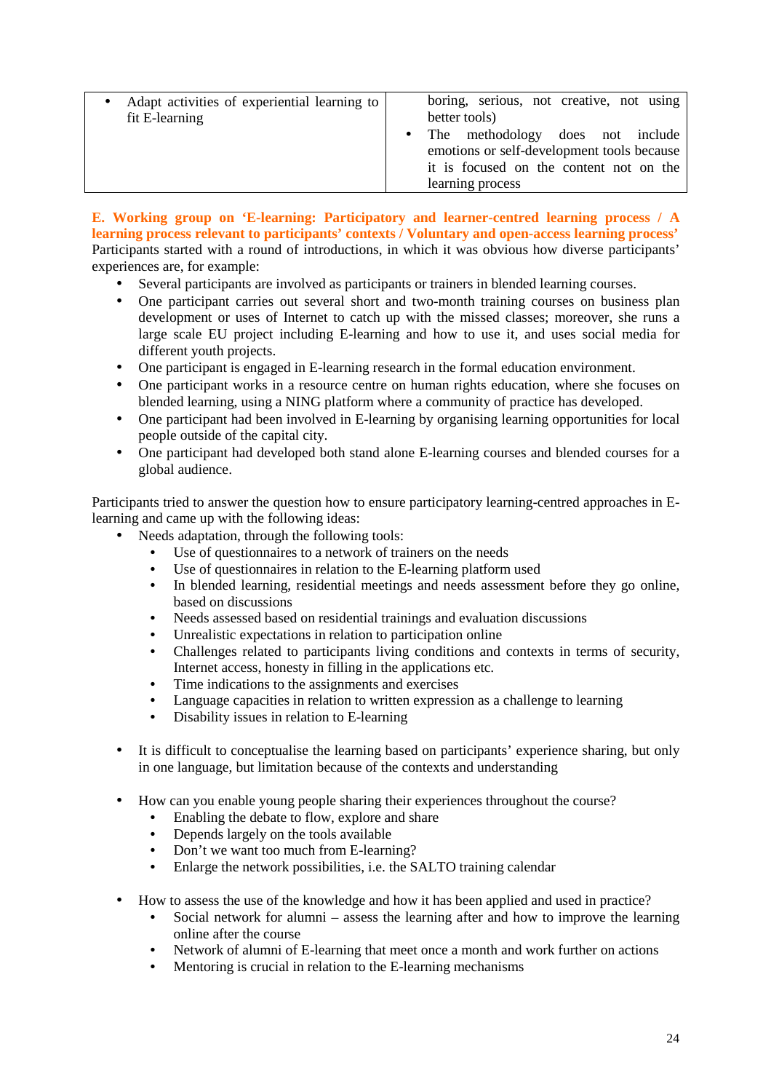| Adapt activities of experiential learning to<br>$\bullet$<br>fit E-learning | boring, serious, not creative, not using<br>better tools)                                                                                       |
|-----------------------------------------------------------------------------|-------------------------------------------------------------------------------------------------------------------------------------------------|
|                                                                             | • The methodology does not include<br>emotions or self-development tools because<br>it is focused on the content not on the<br>learning process |

**E. Working group on 'E-learning: Participatory and learner-centred learning process / A learning process relevant to participants' contexts / Voluntary and open-access learning process'**  Participants started with a round of introductions, in which it was obvious how diverse participants' experiences are, for example:

- Several participants are involved as participants or trainers in blended learning courses.
- One participant carries out several short and two-month training courses on business plan development or uses of Internet to catch up with the missed classes; moreover, she runs a large scale EU project including E-learning and how to use it, and uses social media for different youth projects.
- One participant is engaged in E-learning research in the formal education environment.
- One participant works in a resource centre on human rights education, where she focuses on blended learning, using a NING platform where a community of practice has developed.
- One participant had been involved in E-learning by organising learning opportunities for local people outside of the capital city.
- One participant had developed both stand alone E-learning courses and blended courses for a global audience.

Participants tried to answer the question how to ensure participatory learning-centred approaches in Elearning and came up with the following ideas:

- Needs adaptation, through the following tools:
	- Use of questionnaires to a network of trainers on the needs
	- Use of questionnaires in relation to the E-learning platform used
	- In blended learning, residential meetings and needs assessment before they go online, based on discussions
	- Needs assessed based on residential trainings and evaluation discussions
	- Unrealistic expectations in relation to participation online
	- Challenges related to participants living conditions and contexts in terms of security, Internet access, honesty in filling in the applications etc.
	- Time indications to the assignments and exercises
	- Language capacities in relation to written expression as a challenge to learning
	- Disability issues in relation to E-learning
- It is difficult to conceptualise the learning based on participants' experience sharing, but only in one language, but limitation because of the contexts and understanding
- How can you enable young people sharing their experiences throughout the course?
	- Enabling the debate to flow, explore and share
	- Depends largely on the tools available
	- Don't we want too much from E-learning?
	- Enlarge the network possibilities, i.e. the SALTO training calendar
- How to assess the use of the knowledge and how it has been applied and used in practice?
	- Social network for alumni assess the learning after and how to improve the learning online after the course
	- Network of alumni of E-learning that meet once a month and work further on actions
	- Mentoring is crucial in relation to the E-learning mechanisms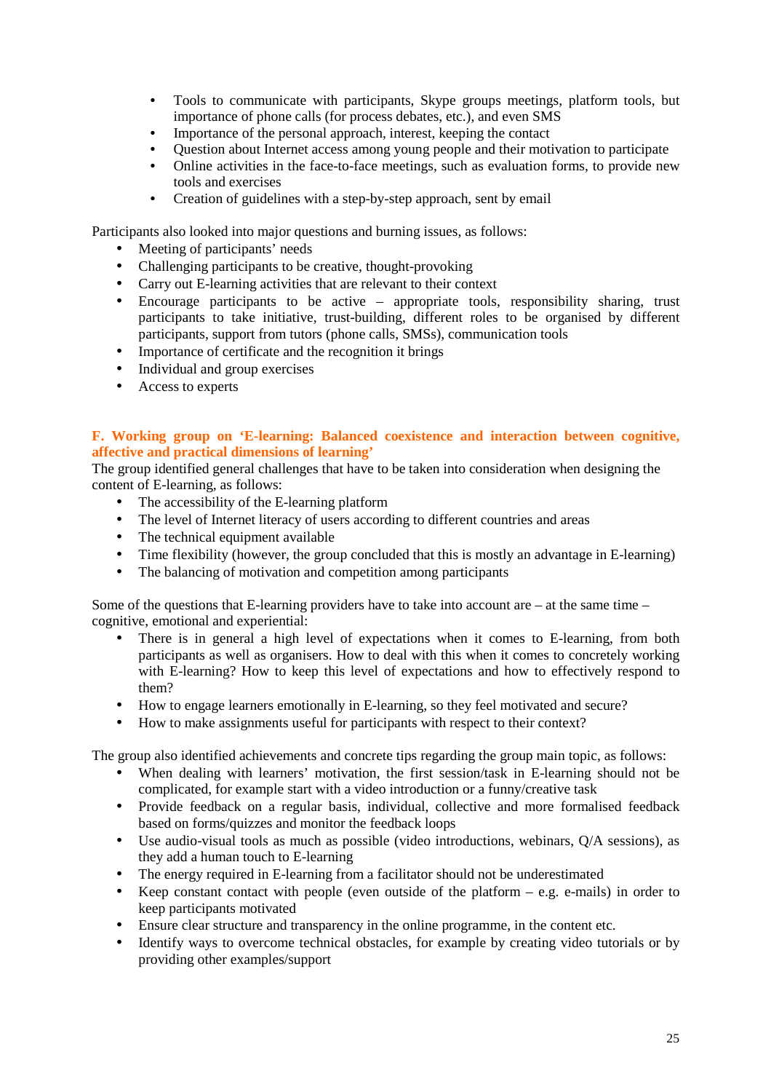- Tools to communicate with participants, Skype groups meetings, platform tools, but importance of phone calls (for process debates, etc.), and even SMS
- Importance of the personal approach, interest, keeping the contact
- Question about Internet access among young people and their motivation to participate
- Online activities in the face-to-face meetings, such as evaluation forms, to provide new tools and exercises
- Creation of guidelines with a step-by-step approach, sent by email

Participants also looked into major questions and burning issues, as follows:

- Meeting of participants' needs
- Challenging participants to be creative, thought-provoking
- Carry out E-learning activities that are relevant to their context
- Encourage participants to be active appropriate tools, responsibility sharing, trust participants to take initiative, trust-building, different roles to be organised by different participants, support from tutors (phone calls, SMSs), communication tools
- Importance of certificate and the recognition it brings
- Individual and group exercises
- Access to experts

### **F. Working group on 'E-learning: Balanced coexistence and interaction between cognitive, affective and practical dimensions of learning'**

The group identified general challenges that have to be taken into consideration when designing the content of E-learning, as follows:

- The accessibility of the E-learning platform
- The level of Internet literacy of users according to different countries and areas
- The technical equipment available
- Time flexibility (however, the group concluded that this is mostly an advantage in E-learning)
- The balancing of motivation and competition among participants

Some of the questions that E-learning providers have to take into account are – at the same time – cognitive, emotional and experiential:

- There is in general a high level of expectations when it comes to E-learning, from both participants as well as organisers. How to deal with this when it comes to concretely working with E-learning? How to keep this level of expectations and how to effectively respond to them?
- How to engage learners emotionally in E-learning, so they feel motivated and secure?
- How to make assignments useful for participants with respect to their context?

The group also identified achievements and concrete tips regarding the group main topic, as follows:

- When dealing with learners' motivation, the first session/task in E-learning should not be complicated, for example start with a video introduction or a funny/creative task
- Provide feedback on a regular basis, individual, collective and more formalised feedback based on forms/quizzes and monitor the feedback loops
- Use audio-visual tools as much as possible (video introductions, webinars, Q/A sessions), as they add a human touch to E-learning
- The energy required in E-learning from a facilitator should not be underestimated
- Keep constant contact with people (even outside of the platform  $-$  e.g. e-mails) in order to keep participants motivated
- Ensure clear structure and transparency in the online programme, in the content etc.
- Identify ways to overcome technical obstacles, for example by creating video tutorials or by providing other examples/support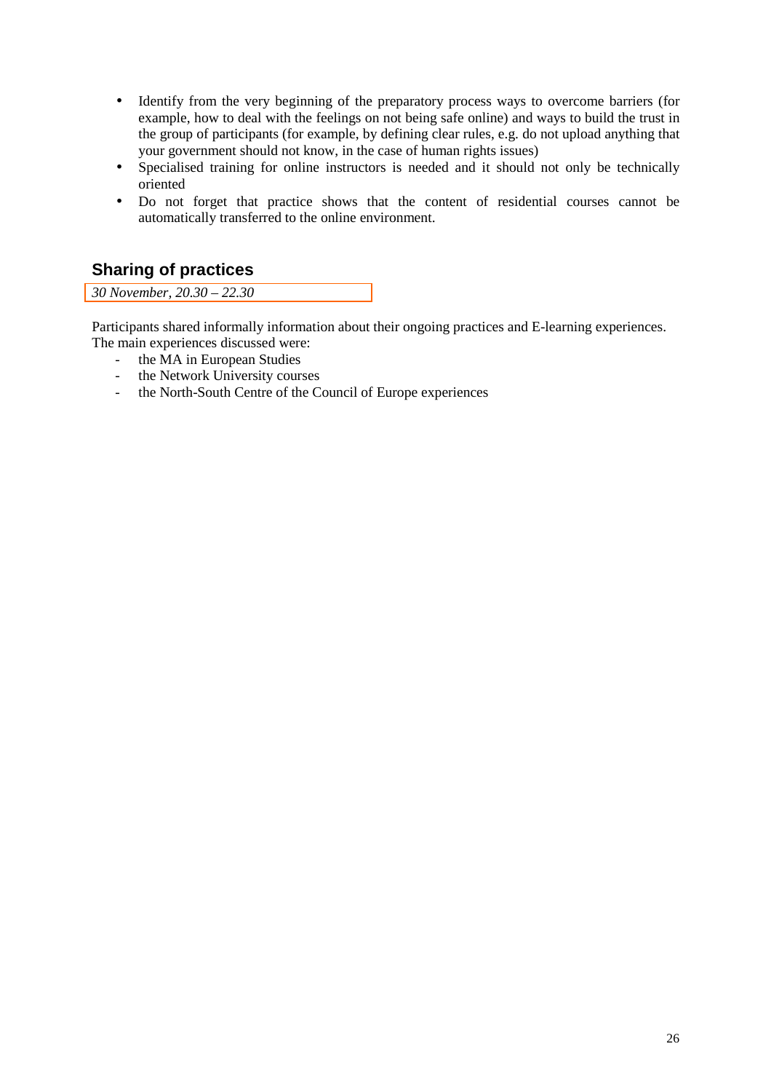- Identify from the very beginning of the preparatory process ways to overcome barriers (for example, how to deal with the feelings on not being safe online) and ways to build the trust in the group of participants (for example, by defining clear rules, e.g. do not upload anything that your government should not know, in the case of human rights issues)
- Specialised training for online instructors is needed and it should not only be technically oriented
- Do not forget that practice shows that the content of residential courses cannot be automatically transferred to the online environment.

# **Sharing of practices**

*30 November, 20.30 – 22.30* 

Participants shared informally information about their ongoing practices and E-learning experiences. The main experiences discussed were:

- the MA in European Studies
- the Network University courses
- the North-South Centre of the Council of Europe experiences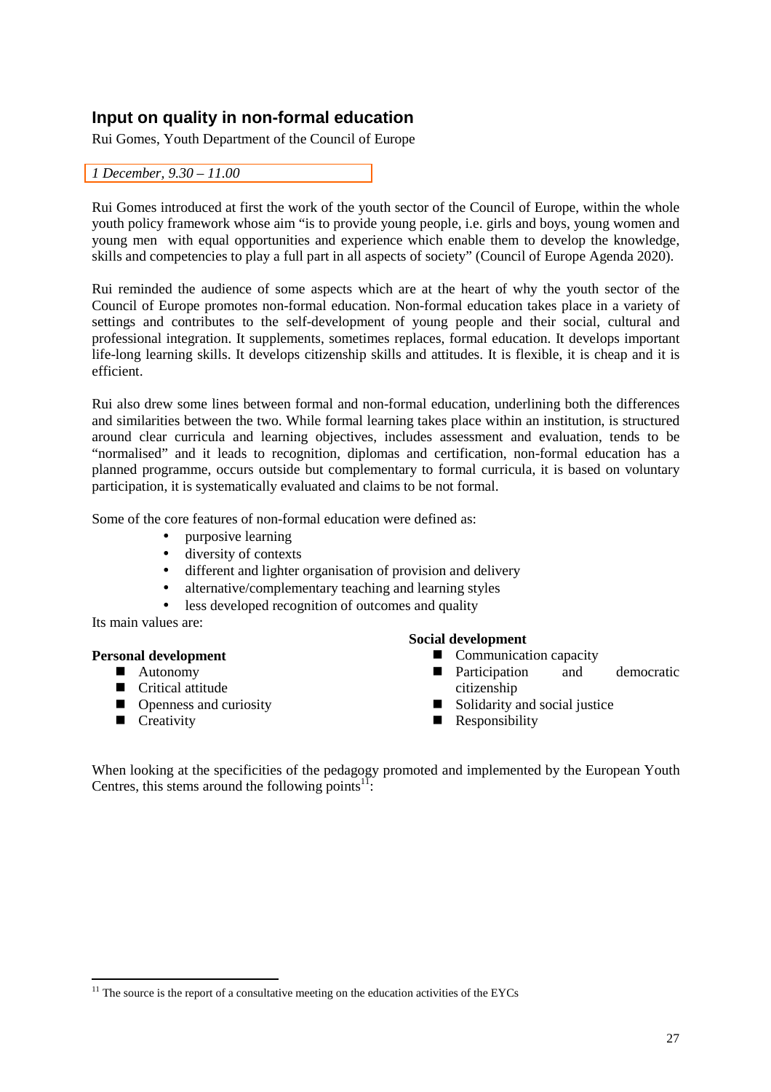# **Input on quality in non-formal education**

Rui Gomes, Youth Department of the Council of Europe

*1 December, 9.30 – 11.00* 

Rui Gomes introduced at first the work of the youth sector of the Council of Europe, within the whole youth policy framework whose aim "is to provide young people, i.e. girls and boys, young women and young men with equal opportunities and experience which enable them to develop the knowledge, skills and competencies to play a full part in all aspects of society" (Council of Europe Agenda 2020).

Rui reminded the audience of some aspects which are at the heart of why the youth sector of the Council of Europe promotes non-formal education. Non-formal education takes place in a variety of settings and contributes to the self-development of young people and their social, cultural and professional integration. It supplements, sometimes replaces, formal education. It develops important life-long learning skills. It develops citizenship skills and attitudes. It is flexible, it is cheap and it is efficient.

Rui also drew some lines between formal and non-formal education, underlining both the differences and similarities between the two. While formal learning takes place within an institution, is structured around clear curricula and learning objectives, includes assessment and evaluation, tends to be "normalised" and it leads to recognition, diplomas and certification, non-formal education has a planned programme, occurs outside but complementary to formal curricula, it is based on voluntary participation, it is systematically evaluated and claims to be not formal.

Some of the core features of non-formal education were defined as:

- purposive learning
- diversity of contexts
- different and lighter organisation of provision and delivery
- alternative/complementary teaching and learning styles
- less developed recognition of outcomes and quality

Its main values are:

### **Personal development**

- Autonomy
- Critical attitude
- **Openness and curiosity**
- $\blacksquare$  Creativity

 $\overline{a}$ 

### **Social development**

- Communication capacity
- **Participation** and democratic citizenship
- $\blacksquare$  Solidarity and social justice
- **Responsibility**

When looking at the specificities of the pedagogy promoted and implemented by the European Youth Centres, this stems around the following points $11$ :

 $11$  The source is the report of a consultative meeting on the education activities of the EYCs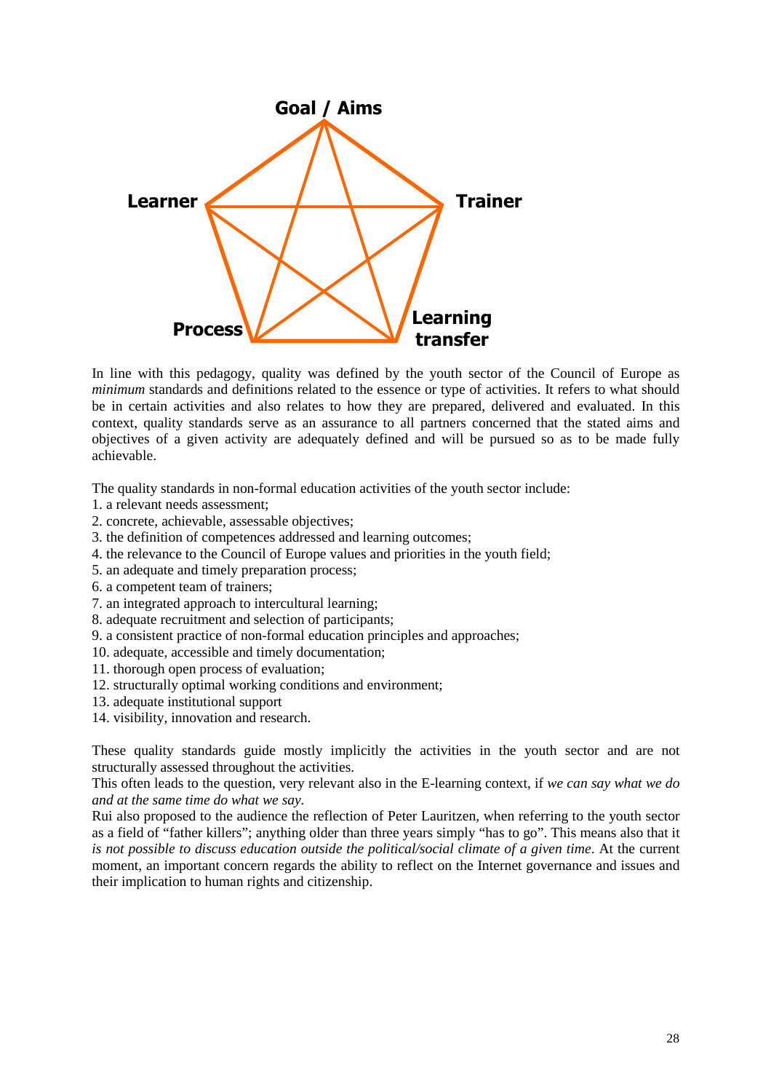

In line with this pedagogy, quality was defined by the youth sector of the Council of Europe as *minimum* standards and definitions related to the essence or type of activities. It refers to what should be in certain activities and also relates to how they are prepared, delivered and evaluated. In this context, quality standards serve as an assurance to all partners concerned that the stated aims and objectives of a given activity are adequately defined and will be pursued so as to be made fully achievable.

The quality standards in non-formal education activities of the youth sector include:

- 1. a relevant needs assessment;
- 2. concrete, achievable, assessable objectives;
- 3. the definition of competences addressed and learning outcomes;
- 4. the relevance to the Council of Europe values and priorities in the youth field;
- 5. an adequate and timely preparation process;
- 6. a competent team of trainers;
- 7. an integrated approach to intercultural learning;
- 8. adequate recruitment and selection of participants;
- 9. a consistent practice of non-formal education principles and approaches;
- 10. adequate, accessible and timely documentation;
- 11. thorough open process of evaluation;
- 12. structurally optimal working conditions and environment;
- 13. adequate institutional support
- 14. visibility, innovation and research.

These quality standards guide mostly implicitly the activities in the youth sector and are not structurally assessed throughout the activities.

This often leads to the question, very relevant also in the E-learning context, if *we can say what we do and at the same time do what we say.*

Rui also proposed to the audience the reflection of Peter Lauritzen, when referring to the youth sector as a field of "father killers"; anything older than three years simply "has to go". This means also that it *is not possible to discuss education outside the political/social climate of a given time*. At the current moment, an important concern regards the ability to reflect on the Internet governance and issues and their implication to human rights and citizenship.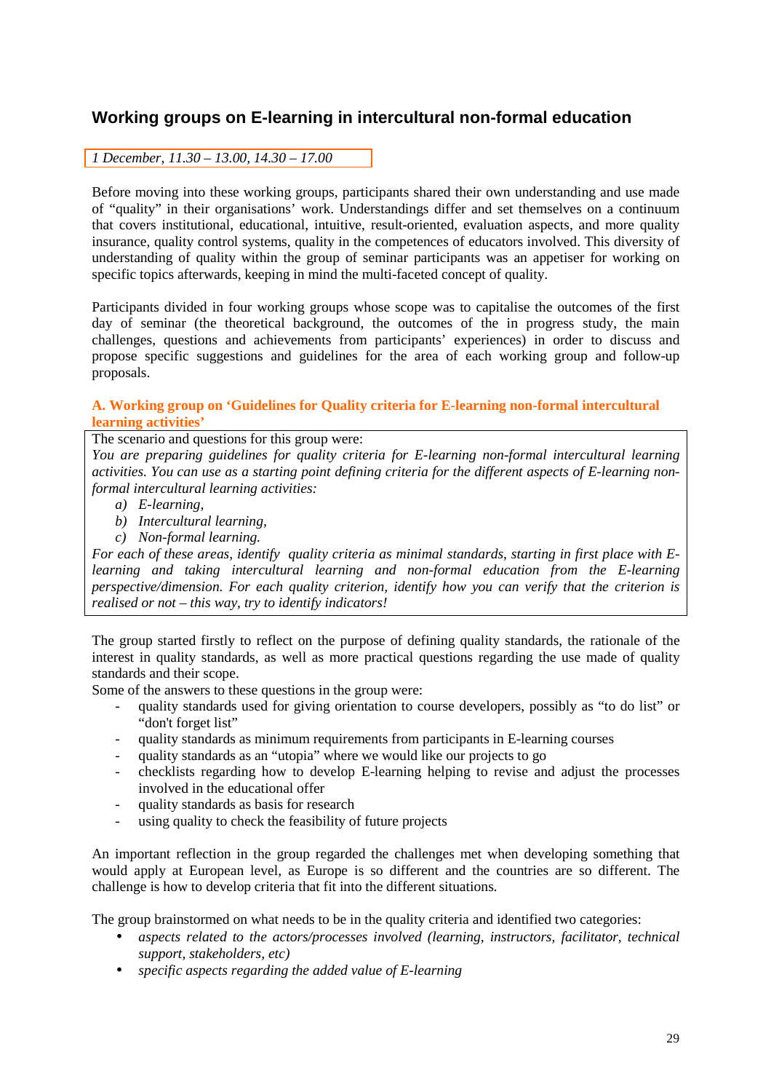# **Working groups on E-learning in intercultural non-formal education**

# *1 December, 11.30 – 13.00, 14.30 – 17.00*

Before moving into these working groups, participants shared their own understanding and use made of "quality" in their organisations' work. Understandings differ and set themselves on a continuum that covers institutional, educational, intuitive, result-oriented, evaluation aspects, and more quality insurance, quality control systems, quality in the competences of educators involved. This diversity of understanding of quality within the group of seminar participants was an appetiser for working on specific topics afterwards, keeping in mind the multi-faceted concept of quality.

Participants divided in four working groups whose scope was to capitalise the outcomes of the first day of seminar (the theoretical background, the outcomes of the in progress study, the main challenges, questions and achievements from participants' experiences) in order to discuss and propose specific suggestions and guidelines for the area of each working group and follow-up proposals.

### **A. Working group on 'Guidelines for Quality criteria for E-learning non-formal intercultural learning activities'**

### The scenario and questions for this group were:

*You are preparing guidelines for quality criteria for E-learning non-formal intercultural learning activities. You can use as a starting point defining criteria for the different aspects of E-learning nonformal intercultural learning activities:* 

- *a) E-learning,*
- *b) Intercultural learning,*
- *c) Non-formal learning.*

*For each of these areas, identify quality criteria as minimal standards, starting in first place with Elearning and taking intercultural learning and non-formal education from the E-learning perspective/dimension. For each quality criterion, identify how you can verify that the criterion is realised or not – this way, try to identify indicators!* 

The group started firstly to reflect on the purpose of defining quality standards, the rationale of the interest in quality standards, as well as more practical questions regarding the use made of quality standards and their scope.

Some of the answers to these questions in the group were:

- quality standards used for giving orientation to course developers, possibly as "to do list" or "don't forget list"
- quality standards as minimum requirements from participants in E-learning courses
- quality standards as an "utopia" where we would like our projects to go
- checklists regarding how to develop E-learning helping to revise and adjust the processes involved in the educational offer
- quality standards as basis for research
- using quality to check the feasibility of future projects

An important reflection in the group regarded the challenges met when developing something that would apply at European level, as Europe is so different and the countries are so different. The challenge is how to develop criteria that fit into the different situations.

The group brainstormed on what needs to be in the quality criteria and identified two categories:

- *aspects related to the actors/processes involved (learning, instructors, facilitator, technical support, stakeholders, etc)*
- *specific aspects regarding the added value of E-learning*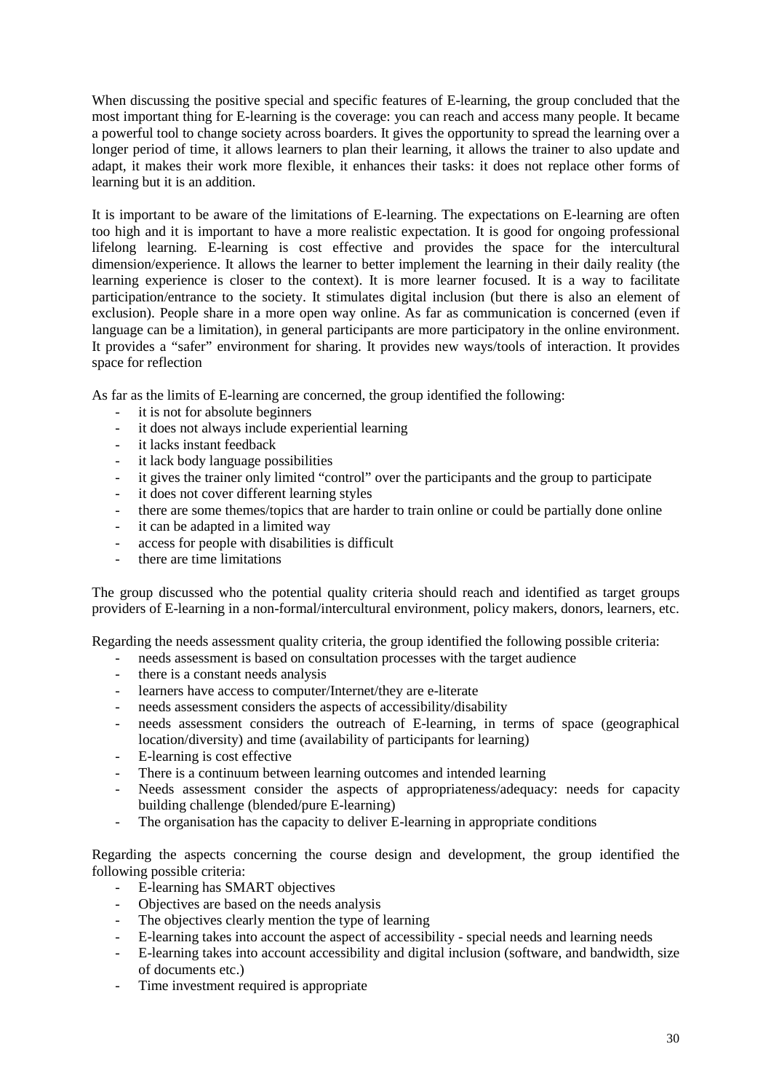When discussing the positive special and specific features of E-learning, the group concluded that the most important thing for E-learning is the coverage: you can reach and access many people. It became a powerful tool to change society across boarders. It gives the opportunity to spread the learning over a longer period of time, it allows learners to plan their learning, it allows the trainer to also update and adapt, it makes their work more flexible, it enhances their tasks: it does not replace other forms of learning but it is an addition.

It is important to be aware of the limitations of E-learning. The expectations on E-learning are often too high and it is important to have a more realistic expectation. It is good for ongoing professional lifelong learning. E-learning is cost effective and provides the space for the intercultural dimension/experience. It allows the learner to better implement the learning in their daily reality (the learning experience is closer to the context). It is more learner focused. It is a way to facilitate participation/entrance to the society. It stimulates digital inclusion (but there is also an element of exclusion). People share in a more open way online. As far as communication is concerned (even if language can be a limitation), in general participants are more participatory in the online environment. It provides a "safer" environment for sharing. It provides new ways/tools of interaction. It provides space for reflection

As far as the limits of E-learning are concerned, the group identified the following:

- it is not for absolute beginners
- it does not always include experiential learning
- it lacks instant feedback
- it lack body language possibilities
- it gives the trainer only limited "control" over the participants and the group to participate
- it does not cover different learning styles
- there are some themes/topics that are harder to train online or could be partially done online
- it can be adapted in a limited way
- access for people with disabilities is difficult
- there are time limitations

The group discussed who the potential quality criteria should reach and identified as target groups providers of E-learning in a non-formal/intercultural environment, policy makers, donors, learners, etc.

Regarding the needs assessment quality criteria, the group identified the following possible criteria:

- needs assessment is based on consultation processes with the target audience
- there is a constant needs analysis
- learners have access to computer/Internet/they are e-literate
- needs assessment considers the aspects of accessibility/disability
- needs assessment considers the outreach of E-learning, in terms of space (geographical location/diversity) and time (availability of participants for learning)
- E-learning is cost effective
- There is a continuum between learning outcomes and intended learning
- Needs assessment consider the aspects of appropriateness/adequacy: needs for capacity building challenge (blended/pure E-learning)
- The organisation has the capacity to deliver E-learning in appropriate conditions

Regarding the aspects concerning the course design and development, the group identified the following possible criteria:

- E-learning has SMART objectives
- Objectives are based on the needs analysis
- The objectives clearly mention the type of learning
- E-learning takes into account the aspect of accessibility special needs and learning needs
- E-learning takes into account accessibility and digital inclusion (software, and bandwidth, size of documents etc.)
- Time investment required is appropriate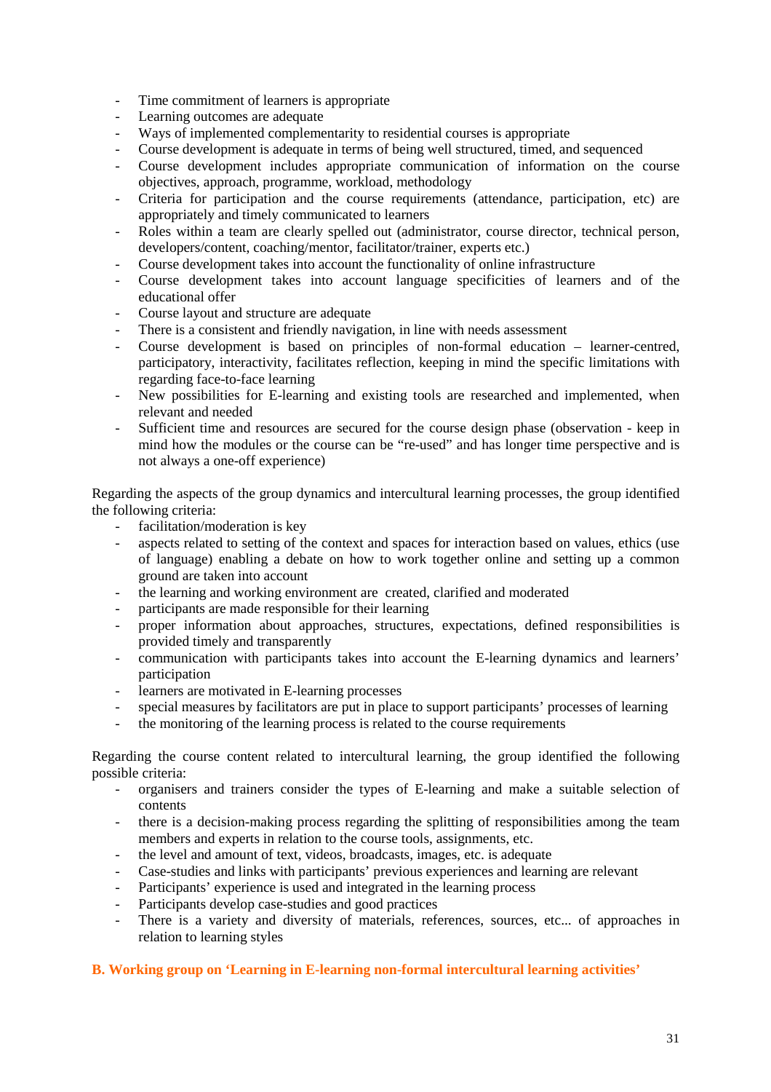- Time commitment of learners is appropriate
- Learning outcomes are adequate
- Ways of implemented complementarity to residential courses is appropriate
- Course development is adequate in terms of being well structured, timed, and sequenced
- Course development includes appropriate communication of information on the course objectives, approach, programme, workload, methodology
- Criteria for participation and the course requirements (attendance, participation, etc) are appropriately and timely communicated to learners
- Roles within a team are clearly spelled out (administrator, course director, technical person, developers/content, coaching/mentor, facilitator/trainer, experts etc.)
- Course development takes into account the functionality of online infrastructure
- Course development takes into account language specificities of learners and of the educational offer
- Course layout and structure are adequate
- There is a consistent and friendly navigation, in line with needs assessment
- Course development is based on principles of non-formal education learner-centred, participatory, interactivity, facilitates reflection, keeping in mind the specific limitations with regarding face-to-face learning
- New possibilities for E-learning and existing tools are researched and implemented, when relevant and needed
- Sufficient time and resources are secured for the course design phase (observation keep in mind how the modules or the course can be "re-used" and has longer time perspective and is not always a one-off experience)

Regarding the aspects of the group dynamics and intercultural learning processes, the group identified the following criteria:

- facilitation/moderation is key
- aspects related to setting of the context and spaces for interaction based on values, ethics (use of language) enabling a debate on how to work together online and setting up a common ground are taken into account
- the learning and working environment are created, clarified and moderated
- participants are made responsible for their learning
- proper information about approaches, structures, expectations, defined responsibilities is provided timely and transparently
- communication with participants takes into account the E-learning dynamics and learners' participation
- learners are motivated in E-learning processes
- special measures by facilitators are put in place to support participants' processes of learning
- the monitoring of the learning process is related to the course requirements

Regarding the course content related to intercultural learning, the group identified the following possible criteria:

- organisers and trainers consider the types of E-learning and make a suitable selection of contents
- there is a decision-making process regarding the splitting of responsibilities among the team members and experts in relation to the course tools, assignments, etc.
- the level and amount of text, videos, broadcasts, images, etc. is adequate
- Case-studies and links with participants' previous experiences and learning are relevant
- Participants' experience is used and integrated in the learning process
- Participants develop case-studies and good practices
- There is a variety and diversity of materials, references, sources, etc... of approaches in relation to learning styles

### **B. Working group on 'Learning in E-learning non-formal intercultural learning activities'**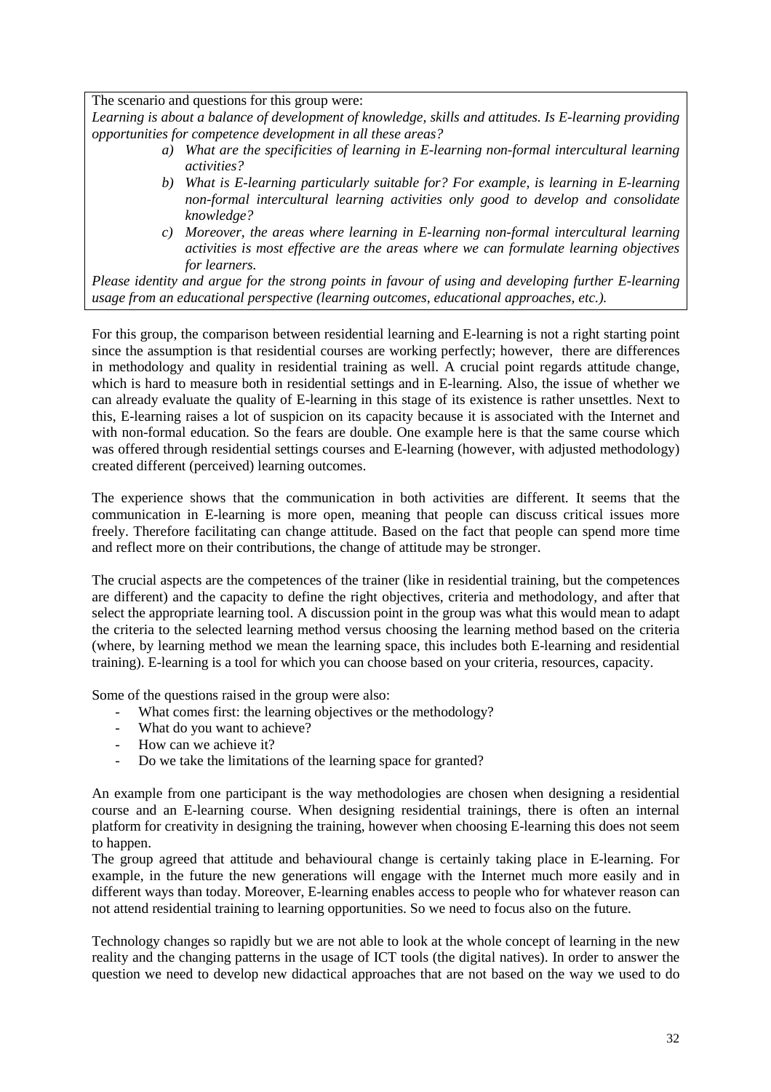The scenario and questions for this group were:

*Learning is about a balance of development of knowledge, skills and attitudes. Is E-learning providing opportunities for competence development in all these areas?* 

- *a) What are the specificities of learning in E-learning non-formal intercultural learning activities?*
- *b) What is E-learning particularly suitable for? For example, is learning in E-learning non-formal intercultural learning activities only good to develop and consolidate knowledge?*
- *c) Moreover, the areas where learning in E-learning non-formal intercultural learning activities is most effective are the areas where we can formulate learning objectives for learners.*

*Please identity and argue for the strong points in favour of using and developing further E-learning usage from an educational perspective (learning outcomes, educational approaches, etc.).*

For this group, the comparison between residential learning and E-learning is not a right starting point since the assumption is that residential courses are working perfectly; however, there are differences in methodology and quality in residential training as well. A crucial point regards attitude change, which is hard to measure both in residential settings and in E-learning. Also, the issue of whether we can already evaluate the quality of E-learning in this stage of its existence is rather unsettles. Next to this, E-learning raises a lot of suspicion on its capacity because it is associated with the Internet and with non-formal education. So the fears are double. One example here is that the same course which was offered through residential settings courses and E-learning (however, with adjusted methodology) created different (perceived) learning outcomes.

The experience shows that the communication in both activities are different. It seems that the communication in E-learning is more open, meaning that people can discuss critical issues more freely. Therefore facilitating can change attitude. Based on the fact that people can spend more time and reflect more on their contributions, the change of attitude may be stronger.

The crucial aspects are the competences of the trainer (like in residential training, but the competences are different) and the capacity to define the right objectives, criteria and methodology, and after that select the appropriate learning tool. A discussion point in the group was what this would mean to adapt the criteria to the selected learning method versus choosing the learning method based on the criteria (where, by learning method we mean the learning space, this includes both E-learning and residential training). E-learning is a tool for which you can choose based on your criteria, resources, capacity.

Some of the questions raised in the group were also:

- What comes first: the learning objectives or the methodology?
- What do you want to achieve?
- How can we achieve it?
- Do we take the limitations of the learning space for granted?

An example from one participant is the way methodologies are chosen when designing a residential course and an E-learning course. When designing residential trainings, there is often an internal platform for creativity in designing the training, however when choosing E-learning this does not seem to happen.

The group agreed that attitude and behavioural change is certainly taking place in E-learning. For example, in the future the new generations will engage with the Internet much more easily and in different ways than today. Moreover, E-learning enables access to people who for whatever reason can not attend residential training to learning opportunities. So we need to focus also on the future.

Technology changes so rapidly but we are not able to look at the whole concept of learning in the new reality and the changing patterns in the usage of ICT tools (the digital natives). In order to answer the question we need to develop new didactical approaches that are not based on the way we used to do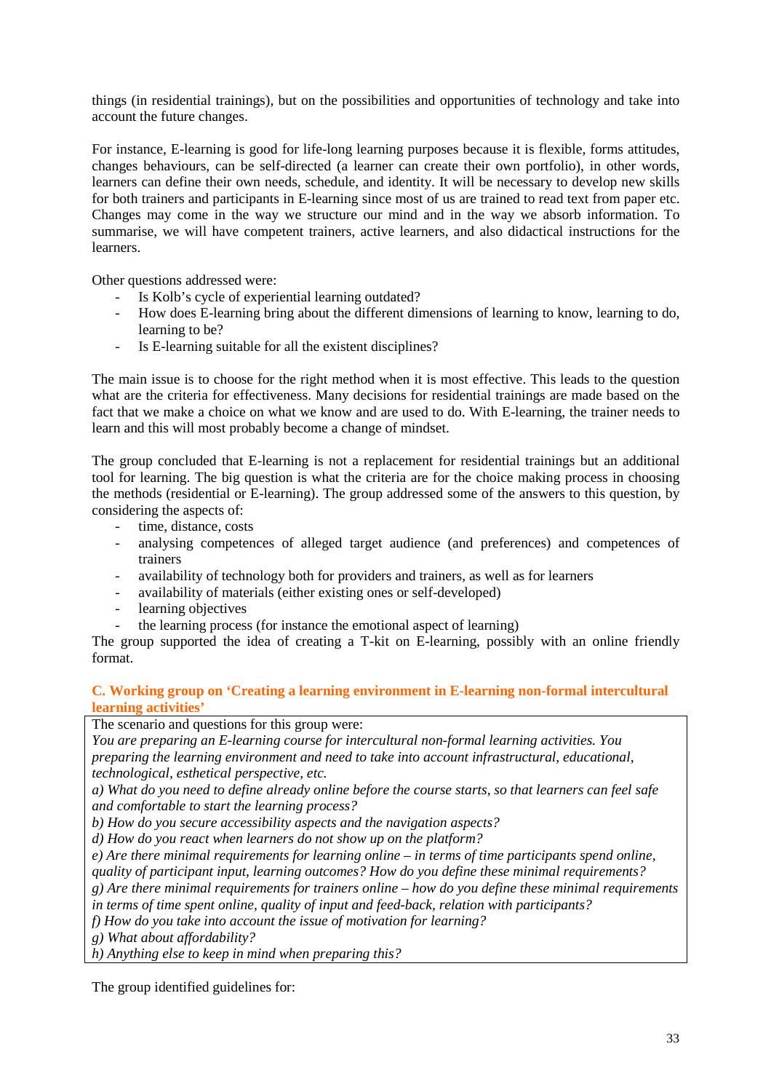things (in residential trainings), but on the possibilities and opportunities of technology and take into account the future changes.

For instance, E-learning is good for life-long learning purposes because it is flexible, forms attitudes, changes behaviours, can be self-directed (a learner can create their own portfolio), in other words, learners can define their own needs, schedule, and identity. It will be necessary to develop new skills for both trainers and participants in E-learning since most of us are trained to read text from paper etc. Changes may come in the way we structure our mind and in the way we absorb information. To summarise, we will have competent trainers, active learners, and also didactical instructions for the learners.

Other questions addressed were:

- Is Kolb's cycle of experiential learning outdated?
- How does E-learning bring about the different dimensions of learning to know, learning to do, learning to be?
- Is E-learning suitable for all the existent disciplines?

The main issue is to choose for the right method when it is most effective. This leads to the question what are the criteria for effectiveness. Many decisions for residential trainings are made based on the fact that we make a choice on what we know and are used to do. With E-learning, the trainer needs to learn and this will most probably become a change of mindset.

The group concluded that E-learning is not a replacement for residential trainings but an additional tool for learning. The big question is what the criteria are for the choice making process in choosing the methods (residential or E-learning). The group addressed some of the answers to this question, by considering the aspects of:

- time, distance, costs
- analysing competences of alleged target audience (and preferences) and competences of trainers
- availability of technology both for providers and trainers, as well as for learners
- availability of materials (either existing ones or self-developed)
- learning objectives
- the learning process (for instance the emotional aspect of learning)

The group supported the idea of creating a T-kit on E-learning, possibly with an online friendly format.

# **C. Working group on 'Creating a learning environment in E-learning non-formal intercultural learning activities'**

The scenario and questions for this group were:

*You are preparing an E-learning course for intercultural non-formal learning activities. You preparing the learning environment and need to take into account infrastructural, educational, technological, esthetical perspective, etc.* 

*a) What do you need to define already online before the course starts, so that learners can feel safe and comfortable to start the learning process?* 

*b) How do you secure accessibility aspects and the navigation aspects?* 

*d) How do you react when learners do not show up on the platform?* 

*e) Are there minimal requirements for learning online – in terms of time participants spend online,* 

*quality of participant input, learning outcomes? How do you define these minimal requirements?* 

*g) Are there minimal requirements for trainers online – how do you define these minimal requirements in terms of time spent online, quality of input and feed-back, relation with participants?* 

*f) How do you take into account the issue of motivation for learning?* 

*g) What about affordability?* 

*h) Anything else to keep in mind when preparing this?*

The group identified guidelines for: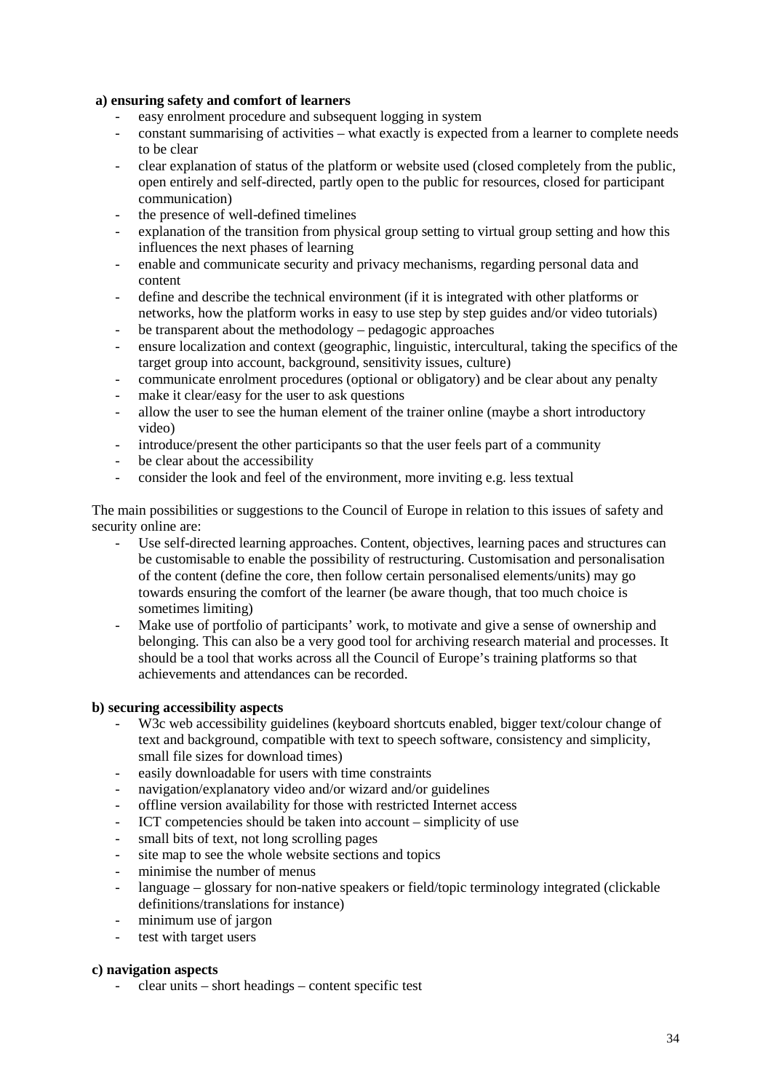### **a) ensuring safety and comfort of learners**

- easy enrolment procedure and subsequent logging in system
- constant summarising of activities what exactly is expected from a learner to complete needs to be clear
- clear explanation of status of the platform or website used (closed completely from the public, open entirely and self-directed, partly open to the public for resources, closed for participant communication)
- the presence of well-defined timelines
- explanation of the transition from physical group setting to virtual group setting and how this influences the next phases of learning
- enable and communicate security and privacy mechanisms, regarding personal data and content
- define and describe the technical environment (if it is integrated with other platforms or networks, how the platform works in easy to use step by step guides and/or video tutorials)
- be transparent about the methodology pedagogic approaches
- ensure localization and context (geographic, linguistic, intercultural, taking the specifics of the target group into account, background, sensitivity issues, culture)
- communicate enrolment procedures (optional or obligatory) and be clear about any penalty
- make it clear/easy for the user to ask questions
- allow the user to see the human element of the trainer online (maybe a short introductory video)
- introduce/present the other participants so that the user feels part of a community
- be clear about the accessibility
- consider the look and feel of the environment, more inviting e.g. less textual

The main possibilities or suggestions to the Council of Europe in relation to this issues of safety and security online are:

- Use self-directed learning approaches. Content, objectives, learning paces and structures can be customisable to enable the possibility of restructuring. Customisation and personalisation of the content (define the core, then follow certain personalised elements/units) may go towards ensuring the comfort of the learner (be aware though, that too much choice is sometimes limiting)
- Make use of portfolio of participants' work, to motivate and give a sense of ownership and belonging. This can also be a very good tool for archiving research material and processes. It should be a tool that works across all the Council of Europe's training platforms so that achievements and attendances can be recorded.

### **b) securing accessibility aspects**

- W3c web accessibility guidelines (keyboard shortcuts enabled, bigger text/colour change of text and background, compatible with text to speech software, consistency and simplicity, small file sizes for download times)
- easily downloadable for users with time constraints
- navigation/explanatory video and/or wizard and/or guidelines
- offline version availability for those with restricted Internet access
- ICT competencies should be taken into account simplicity of use
- small bits of text, not long scrolling pages
- site map to see the whole website sections and topics
- minimise the number of menus
- language glossary for non-native speakers or field/topic terminology integrated (clickable definitions/translations for instance)
- minimum use of jargon
- test with target users

### **c) navigation aspects**

- clear units – short headings – content specific test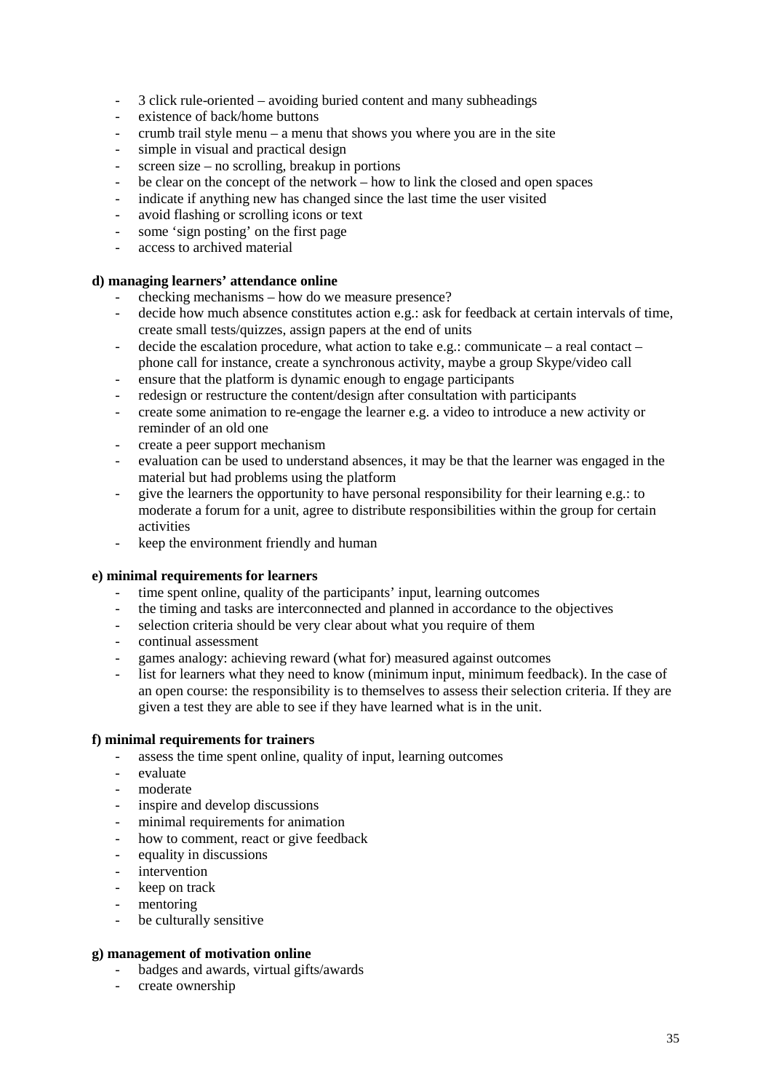- 3 click rule-oriented avoiding buried content and many subheadings
- existence of back/home buttons
- crumb trail style menu a menu that shows you where you are in the site
- simple in visual and practical design
- screen size no scrolling, breakup in portions
- be clear on the concept of the network how to link the closed and open spaces
- indicate if anything new has changed since the last time the user visited
- avoid flashing or scrolling icons or text
- some 'sign posting' on the first page
- access to archived material

# **d) managing learners' attendance online**

- checking mechanisms how do we measure presence?
- decide how much absence constitutes action e.g.: ask for feedback at certain intervals of time, create small tests/quizzes, assign papers at the end of units
- decide the escalation procedure, what action to take e.g.: communicate  $-$  a real contact phone call for instance, create a synchronous activity, maybe a group Skype/video call
- ensure that the platform is dynamic enough to engage participants
- redesign or restructure the content/design after consultation with participants
- create some animation to re-engage the learner e.g. a video to introduce a new activity or reminder of an old one
- create a peer support mechanism
- evaluation can be used to understand absences, it may be that the learner was engaged in the material but had problems using the platform
- give the learners the opportunity to have personal responsibility for their learning e.g.: to moderate a forum for a unit, agree to distribute responsibilities within the group for certain activities
- keep the environment friendly and human

### **e) minimal requirements for learners**

- time spent online, quality of the participants' input, learning outcomes
- the timing and tasks are interconnected and planned in accordance to the objectives
- selection criteria should be very clear about what you require of them
- continual assessment
- games analogy: achieving reward (what for) measured against outcomes
- list for learners what they need to know (minimum input, minimum feedback). In the case of an open course: the responsibility is to themselves to assess their selection criteria. If they are given a test they are able to see if they have learned what is in the unit.

### **f) minimal requirements for trainers**

- assess the time spent online, quality of input, learning outcomes
- evaluate
- moderate
- inspire and develop discussions
- minimal requirements for animation
- how to comment, react or give feedback
- equality in discussions
- intervention
- keep on track
- mentoring
- be culturally sensitive

### **g) management of motivation online**

- badges and awards, virtual gifts/awards
- create ownership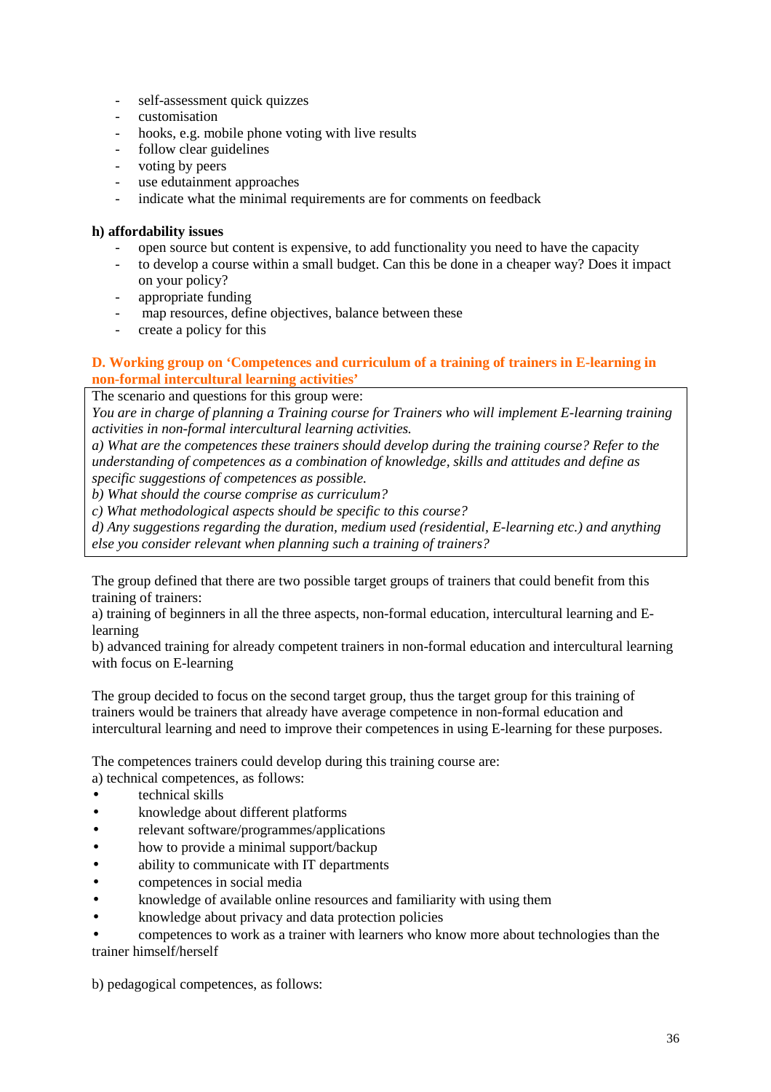- self-assessment quick quizzes
- customisation
- hooks, e.g. mobile phone voting with live results
- follow clear guidelines
- voting by peers
- use edutainment approaches
- indicate what the minimal requirements are for comments on feedback

### **h) affordability issues**

- open source but content is expensive, to add functionality you need to have the capacity
- to develop a course within a small budget. Can this be done in a cheaper way? Does it impact on your policy?
- appropriate funding
- map resources, define objectives, balance between these
- create a policy for this

# **D. Working group on 'Competences and curriculum of a training of trainers in E-learning in non-formal intercultural learning activities'**

The scenario and questions for this group were:

*You are in charge of planning a Training course for Trainers who will implement E-learning training activities in non-formal intercultural learning activities.* 

*a) What are the competences these trainers should develop during the training course? Refer to the understanding of competences as a combination of knowledge, skills and attitudes and define as specific suggestions of competences as possible.* 

*b) What should the course comprise as curriculum?* 

*c) What methodological aspects should be specific to this course?* 

*d) Any suggestions regarding the duration, medium used (residential, E-learning etc.) and anything else you consider relevant when planning such a training of trainers?*

The group defined that there are two possible target groups of trainers that could benefit from this training of trainers:

a) training of beginners in all the three aspects, non-formal education, intercultural learning and Elearning

b) advanced training for already competent trainers in non-formal education and intercultural learning with focus on E-learning

The group decided to focus on the second target group, thus the target group for this training of trainers would be trainers that already have average competence in non-formal education and intercultural learning and need to improve their competences in using E-learning for these purposes.

The competences trainers could develop during this training course are: a) technical competences, as follows:

- technical skills
- knowledge about different platforms
- relevant software/programmes/applications
- how to provide a minimal support/backup
- ability to communicate with IT departments
- competences in social media
- knowledge of available online resources and familiarity with using them
- knowledge about privacy and data protection policies

• competences to work as a trainer with learners who know more about technologies than the trainer himself/herself

b) pedagogical competences, as follows: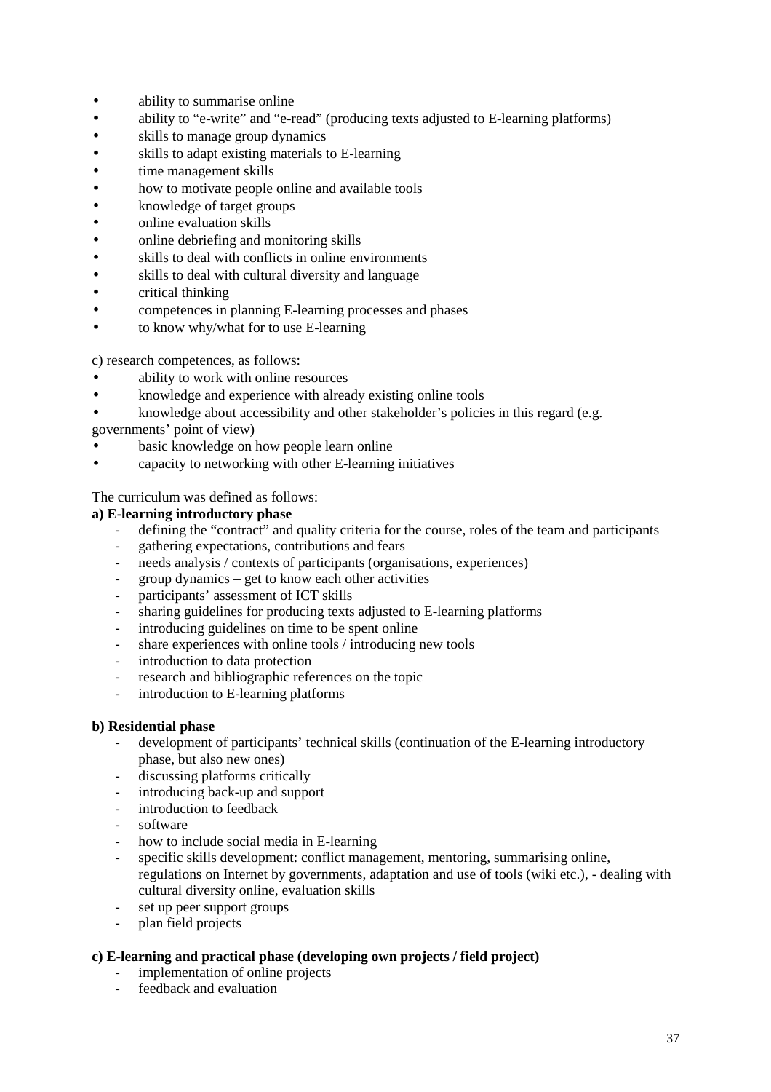- ability to summarise online
- ability to "e-write" and "e-read" (producing texts adjusted to E-learning platforms)
- skills to manage group dynamics
- skills to adapt existing materials to E-learning
- time management skills
- how to motivate people online and available tools
- knowledge of target groups
- online evaluation skills
- online debriefing and monitoring skills
- skills to deal with conflicts in online environments
- skills to deal with cultural diversity and language
- **critical thinking**
- competences in planning E-learning processes and phases
- to know why/what for to use E-learning

c) research competences, as follows:

- ability to work with online resources
- knowledge and experience with already existing online tools
- knowledge about accessibility and other stakeholder's policies in this regard (e.g.
- governments' point of view)
- basic knowledge on how people learn online
- capacity to networking with other E-learning initiatives

The curriculum was defined as follows:

#### **a) E-learning introductory phase**

- defining the "contract" and quality criteria for the course, roles of the team and participants
- gathering expectations, contributions and fears
- needs analysis / contexts of participants (organisations, experiences)
- $group dynamics get to know each other activities$
- participants' assessment of ICT skills
- sharing guidelines for producing texts adjusted to E-learning platforms
- introducing guidelines on time to be spent online
- share experiences with online tools / introducing new tools
- introduction to data protection
- research and bibliographic references on the topic
- introduction to E-learning platforms

### **b) Residential phase**

- development of participants' technical skills (continuation of the E-learning introductory phase, but also new ones)
- discussing platforms critically
- introducing back-up and support
- introduction to feedback
- software
- how to include social media in E-learning
- specific skills development: conflict management, mentoring, summarising online, regulations on Internet by governments, adaptation and use of tools (wiki etc.), - dealing with cultural diversity online, evaluation skills
- set up peer support groups
- plan field projects

### **c) E-learning and practical phase (developing own projects / field project)**

- implementation of online projects
- feedback and evaluation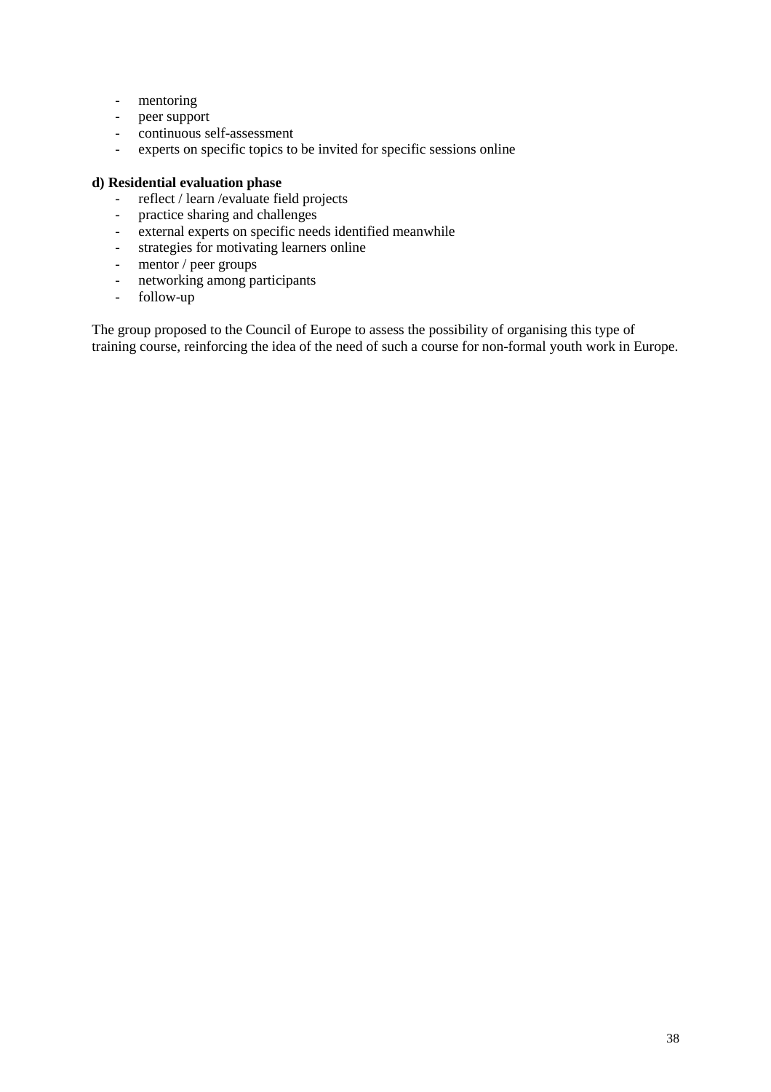- mentoring
- peer support
- continuous self-assessment
- experts on specific topics to be invited for specific sessions online

# **d) Residential evaluation phase**

- reflect / learn /evaluate field projects
- practice sharing and challenges
- external experts on specific needs identified meanwhile
- strategies for motivating learners online
- mentor / peer groups
- networking among participants
- follow-up

The group proposed to the Council of Europe to assess the possibility of organising this type of training course, reinforcing the idea of the need of such a course for non-formal youth work in Europe.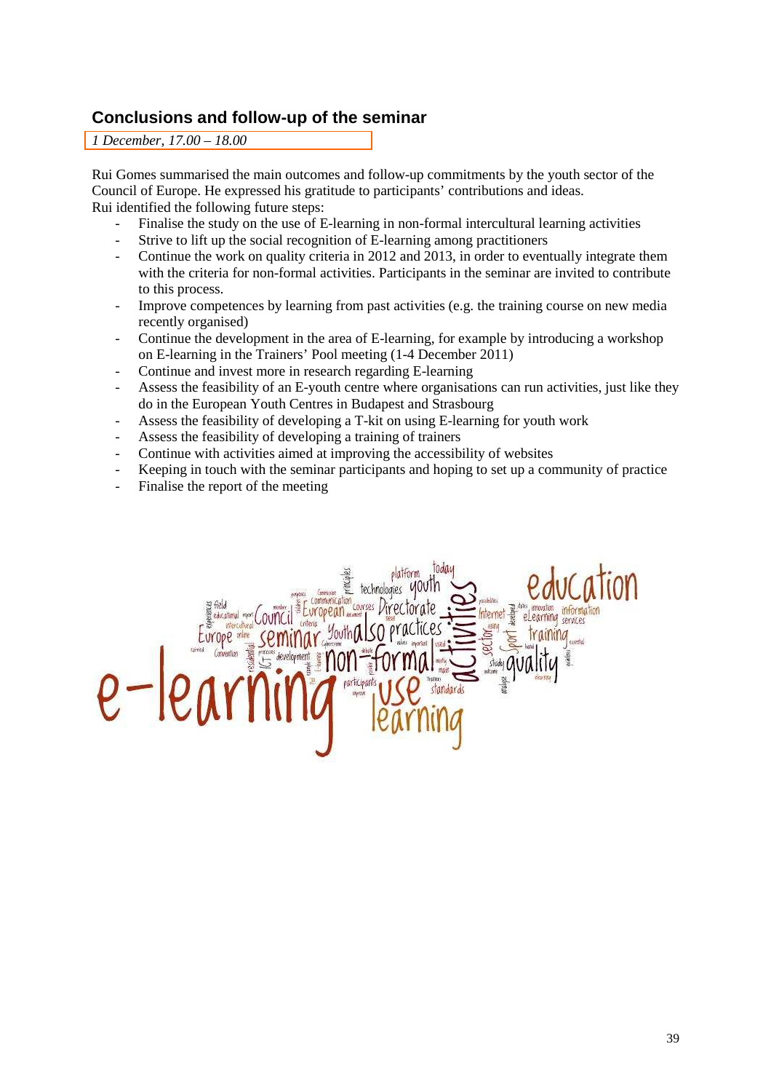# **Conclusions and follow-up of the seminar**

*1 December, 17.00 – 18.00* 

Rui Gomes summarised the main outcomes and follow-up commitments by the youth sector of the Council of Europe. He expressed his gratitude to participants' contributions and ideas. Rui identified the following future steps:

- Finalise the study on the use of E-learning in non-formal intercultural learning activities
- Strive to lift up the social recognition of E-learning among practitioners
- Continue the work on quality criteria in 2012 and 2013, in order to eventually integrate them with the criteria for non-formal activities. Participants in the seminar are invited to contribute to this process.
- Improve competences by learning from past activities (e.g. the training course on new media recently organised)
- Continue the development in the area of E-learning, for example by introducing a workshop on E-learning in the Trainers' Pool meeting (1-4 December 2011)
- Continue and invest more in research regarding E-learning
- Assess the feasibility of an E-youth centre where organisations can run activities, just like they do in the European Youth Centres in Budapest and Strasbourg
- Assess the feasibility of developing a T-kit on using E-learning for youth work
- Assess the feasibility of developing a training of trainers
- Continue with activities aimed at improving the accessibility of websites
- Keeping in touch with the seminar participants and hoping to set up a community of practice
- Finalise the report of the meeting